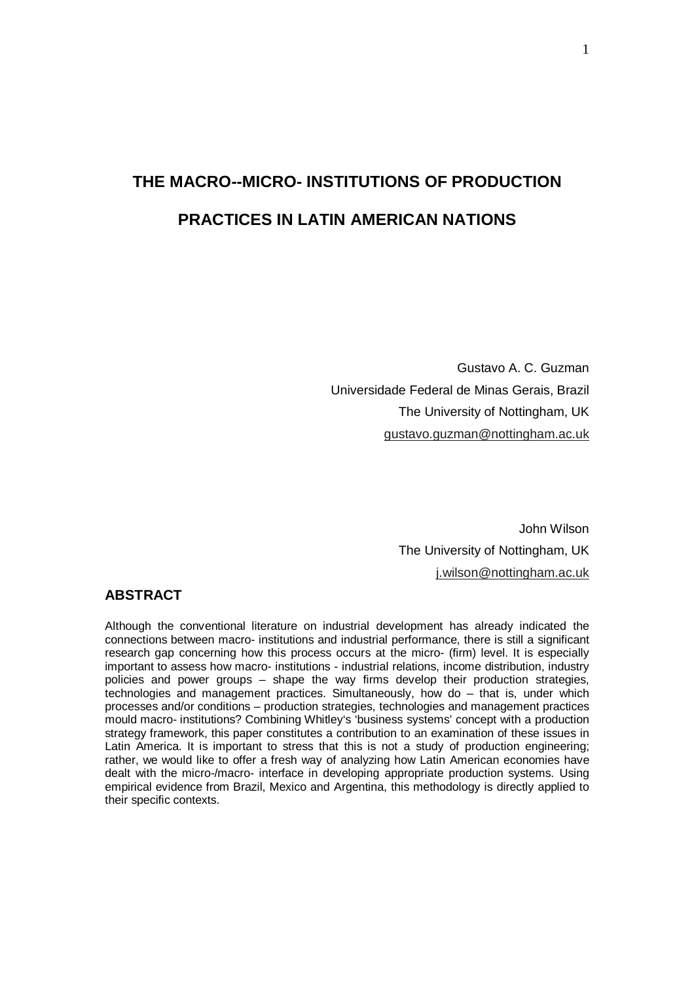# **THE MACRO--MICRO- INSTITUTIONS OF PRODUCTION PRACTICES IN LATIN AMERICAN NATIONS**

Gustavo A. C. Guzman Universidade Federal de Minas Gerais, Brazil The University of Nottingham, UK gustavo.guzman@nottingham.ac.uk

> John Wilson The University of Nottingham, UK j.wilson@nottingham.ac.uk

#### **ABSTRACT**

Although the conventional literature on industrial development has already indicated the connections between macro- institutions and industrial performance, there is still a significant research gap concerning how this process occurs at the micro- (firm) level. It is especially important to assess how macro- institutions - industrial relations, income distribution, industry policies and power groups – shape the way firms develop their production strategies, technologies and management practices. Simultaneously, how do – that is, under which processes and/or conditions – production strategies, technologies and management practices mould macro- institutions? Combining Whitley's 'business systems' concept with a production strategy framework, this paper constitutes a contribution to an examination of these issues in Latin America. It is important to stress that this is not a study of production engineering; rather, we would like to offer a fresh way of analyzing how Latin American economies have dealt with the micro-/macro- interface in developing appropriate production systems. Using empirical evidence from Brazil, Mexico and Argentina, this methodology is directly applied to their specific contexts.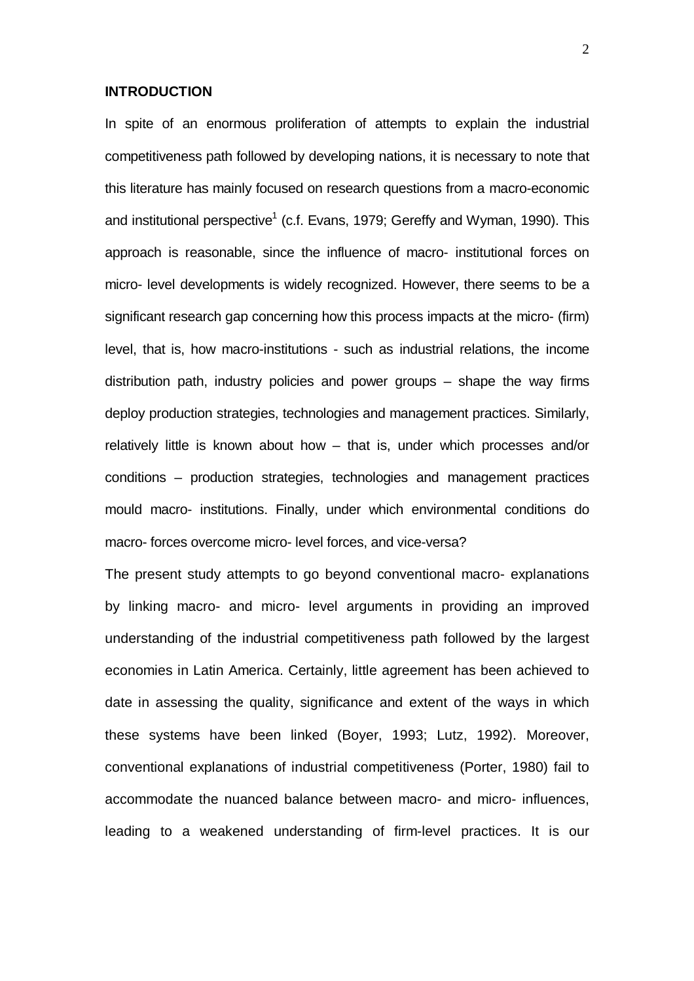#### **INTRODUCTION**

In spite of an enormous proliferation of attempts to explain the industrial competitiveness path followed by developing nations, it is necessary to note that this literature has mainly focused on research questions from a macro-economic and institutional perspective<sup>1</sup> (c.f. Evans, 1979; Gereffy and Wyman, 1990). This approach is reasonable, since the influence of macro- institutional forces on micro- level developments is widely recognized. However, there seems to be a significant research gap concerning how this process impacts at the micro- (firm) level, that is, how macro-institutions - such as industrial relations, the income distribution path, industry policies and power groups – shape the way firms deploy production strategies, technologies and management practices. Similarly, relatively little is known about how – that is, under which processes and/or conditions – production strategies, technologies and management practices mould macro- institutions. Finally, under which environmental conditions do macro- forces overcome micro- level forces, and vice-versa?

The present study attempts to go beyond conventional macro- explanations by linking macro- and micro- level arguments in providing an improved understanding of the industrial competitiveness path followed by the largest economies in Latin America. Certainly, little agreement has been achieved to date in assessing the quality, significance and extent of the ways in which these systems have been linked (Boyer, 1993; Lutz, 1992). Moreover, conventional explanations of industrial competitiveness (Porter, 1980) fail to accommodate the nuanced balance between macro- and micro- influences, leading to a weakened understanding of firm-level practices. It is our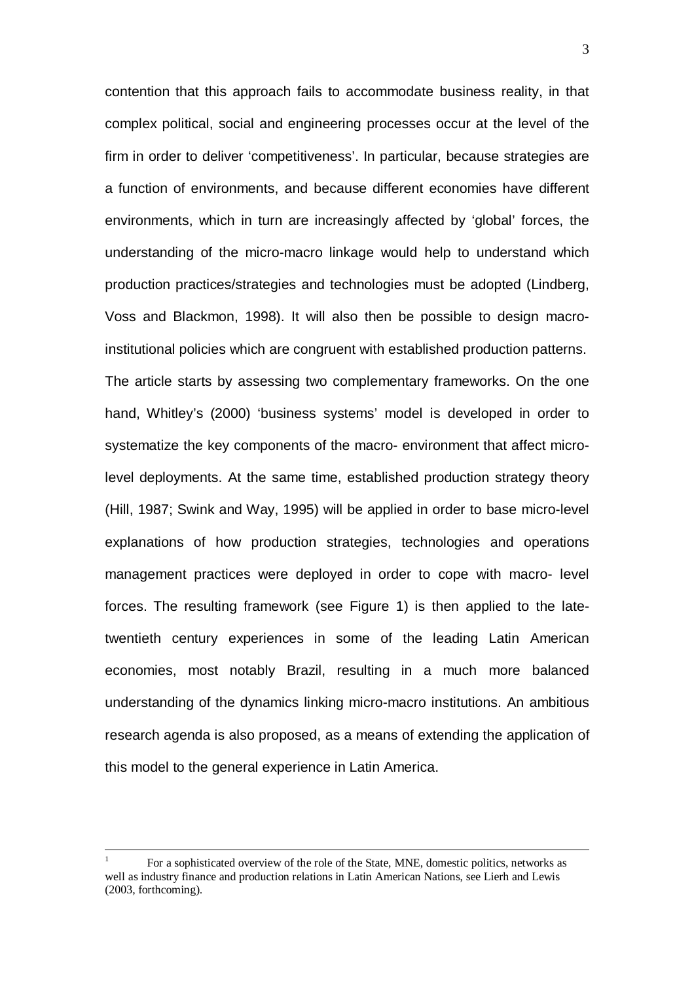contention that this approach fails to accommodate business reality, in that complex political, social and engineering processes occur at the level of the firm in order to deliver 'competitiveness'. In particular, because strategies are a function of environments, and because different economies have different environments, which in turn are increasingly affected by 'global' forces, the understanding of the micro-macro linkage would help to understand which production practices/strategies and technologies must be adopted (Lindberg, Voss and Blackmon, 1998). It will also then be possible to design macroinstitutional policies which are congruent with established production patterns. The article starts by assessing two complementary frameworks. On the one hand, Whitley's (2000) 'business systems' model is developed in order to systematize the key components of the macro- environment that affect microlevel deployments. At the same time, established production strategy theory (Hill, 1987; Swink and Way, 1995) will be applied in order to base micro-level explanations of how production strategies, technologies and operations management practices were deployed in order to cope with macro- level forces. The resulting framework (see Figure 1) is then applied to the latetwentieth century experiences in some of the leading Latin American economies, most notably Brazil, resulting in a much more balanced understanding of the dynamics linking micro-macro institutions. An ambitious research agenda is also proposed, as a means of extending the application of this model to the general experience in Latin America.

 $\frac{1}{1}$  For a sophisticated overview of the role of the State, MNE, domestic politics, networks as well as industry finance and production relations in Latin American Nations, see Lierh and Lewis (2003, forthcoming).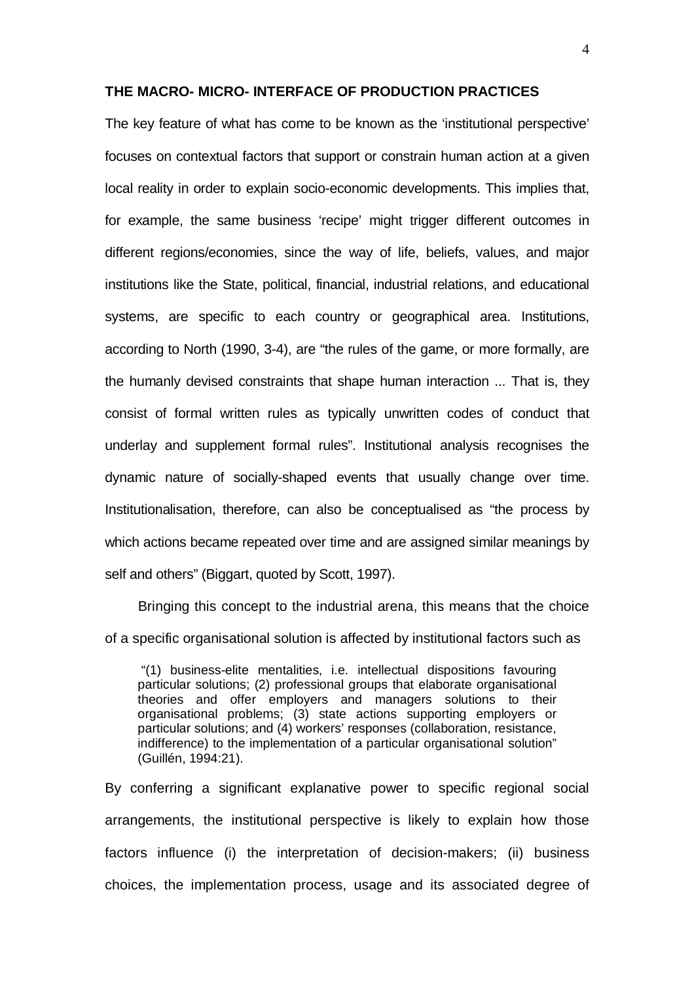#### **THE MACRO- MICRO- INTERFACE OF PRODUCTION PRACTICES**

The key feature of what has come to be known as the 'institutional perspective' focuses on contextual factors that support or constrain human action at a given local reality in order to explain socio-economic developments. This implies that, for example, the same business 'recipe' might trigger different outcomes in different regions/economies, since the way of life, beliefs, values, and major institutions like the State, political, financial, industrial relations, and educational systems, are specific to each country or geographical area. Institutions, according to North (1990, 3-4), are "the rules of the game, or more formally, are the humanly devised constraints that shape human interaction ... That is, they consist of formal written rules as typically unwritten codes of conduct that underlay and supplement formal rules". Institutional analysis recognises the dynamic nature of socially-shaped events that usually change over time. Institutionalisation, therefore, can also be conceptualised as "the process by which actions became repeated over time and are assigned similar meanings by self and others" (Biggart, quoted by Scott, 1997).

Bringing this concept to the industrial arena, this means that the choice of a specific organisational solution is affected by institutional factors such as

 "(1) business-elite mentalities, i.e. intellectual dispositions favouring particular solutions; (2) professional groups that elaborate organisational theories and offer employers and managers solutions to their organisational problems; (3) state actions supporting employers or particular solutions; and (4) workers' responses (collaboration, resistance, indifference) to the implementation of a particular organisational solution" (Guillén, 1994:21).

By conferring a significant explanative power to specific regional social arrangements, the institutional perspective is likely to explain how those factors influence (i) the interpretation of decision-makers; (ii) business choices, the implementation process, usage and its associated degree of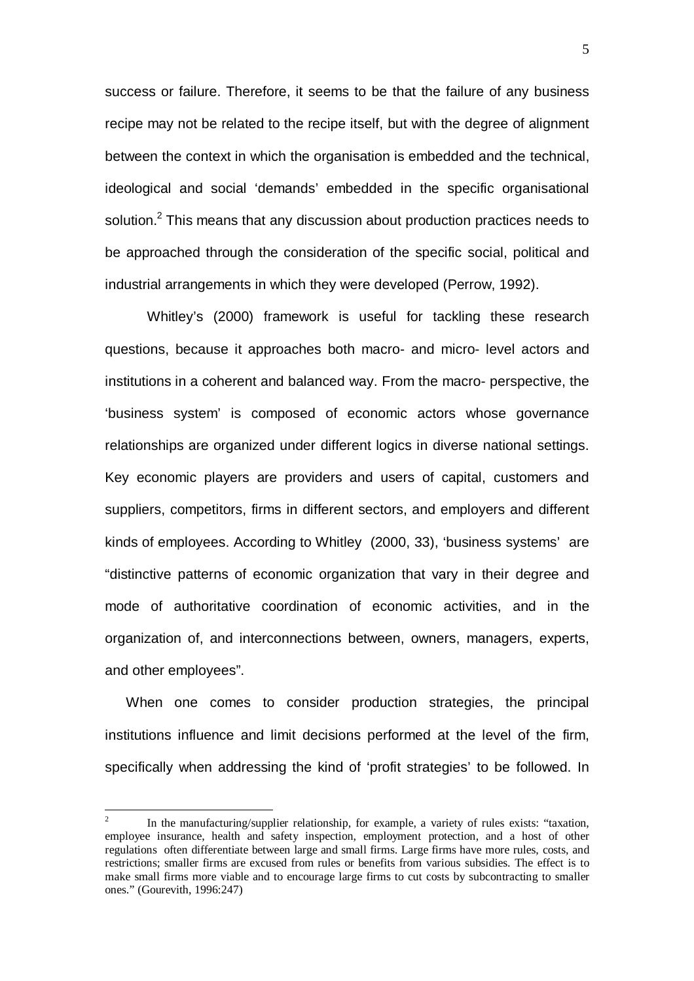success or failure. Therefore, it seems to be that the failure of any business recipe may not be related to the recipe itself, but with the degree of alignment between the context in which the organisation is embedded and the technical, ideological and social 'demands' embedded in the specific organisational solution. $^{2}$  This means that any discussion about production practices needs to be approached through the consideration of the specific social, political and industrial arrangements in which they were developed (Perrow, 1992).

Whitley's (2000) framework is useful for tackling these research questions, because it approaches both macro- and micro- level actors and institutions in a coherent and balanced way. From the macro- perspective, the 'business system' is composed of economic actors whose governance relationships are organized under different logics in diverse national settings. Key economic players are providers and users of capital, customers and suppliers, competitors, firms in different sectors, and employers and different kinds of employees. According to Whitley (2000, 33), 'business systems' are "distinctive patterns of economic organization that vary in their degree and mode of authoritative coordination of economic activities, and in the organization of, and interconnections between, owners, managers, experts, and other employees".

When one comes to consider production strategies, the principal institutions influence and limit decisions performed at the level of the firm, specifically when addressing the kind of 'profit strategies' to be followed. In

 $\frac{1}{2}$  In the manufacturing/supplier relationship, for example, a variety of rules exists: "taxation, employee insurance, health and safety inspection, employment protection, and a host of other regulations often differentiate between large and small firms. Large firms have more rules, costs, and restrictions; smaller firms are excused from rules or benefits from various subsidies. The effect is to make small firms more viable and to encourage large firms to cut costs by subcontracting to smaller ones." (Gourevith, 1996:247)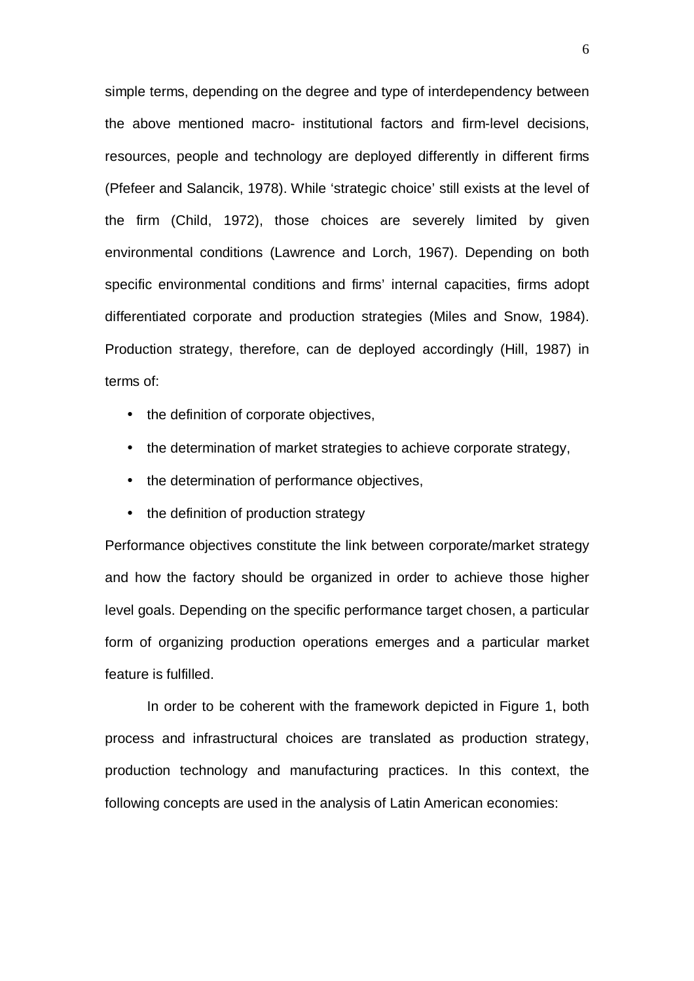simple terms, depending on the degree and type of interdependency between the above mentioned macro- institutional factors and firm-level decisions, resources, people and technology are deployed differently in different firms (Pfefeer and Salancik, 1978). While 'strategic choice' still exists at the level of the firm (Child, 1972), those choices are severely limited by given environmental conditions (Lawrence and Lorch, 1967). Depending on both specific environmental conditions and firms' internal capacities, firms adopt differentiated corporate and production strategies (Miles and Snow, 1984). Production strategy, therefore, can de deployed accordingly (Hill, 1987) in terms of:

- the definition of corporate objectives,
- the determination of market strategies to achieve corporate strategy,
- the determination of performance objectives,
- the definition of production strategy

Performance objectives constitute the link between corporate/market strategy and how the factory should be organized in order to achieve those higher level goals. Depending on the specific performance target chosen, a particular form of organizing production operations emerges and a particular market feature is fulfilled.

In order to be coherent with the framework depicted in Figure 1, both process and infrastructural choices are translated as production strategy, production technology and manufacturing practices. In this context, the following concepts are used in the analysis of Latin American economies: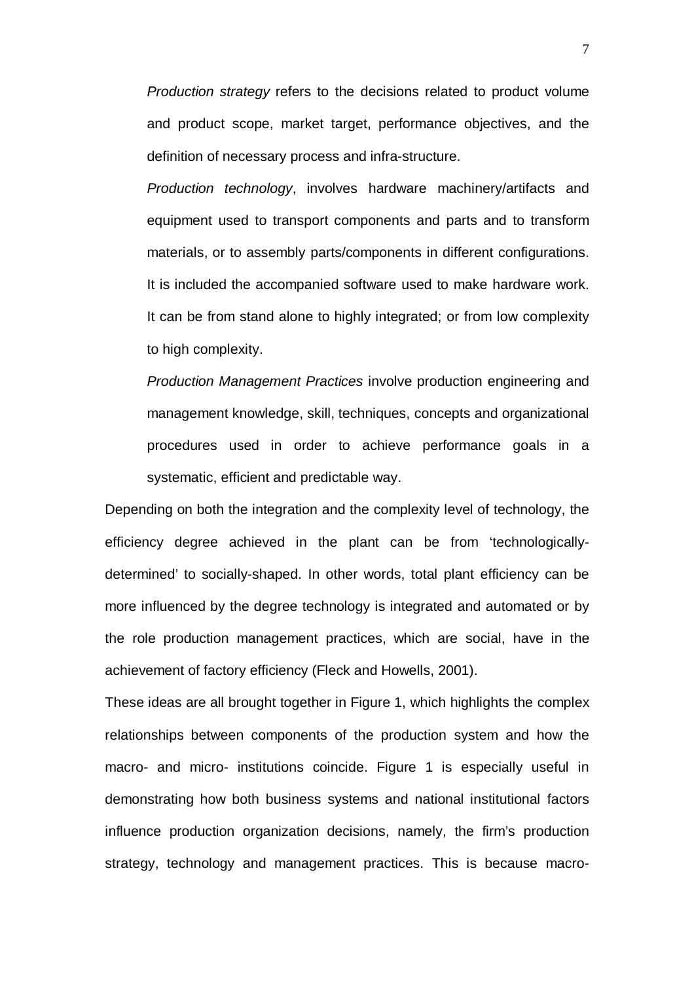Production strategy refers to the decisions related to product volume and product scope, market target, performance objectives, and the definition of necessary process and infra-structure.

Production technology, involves hardware machinery/artifacts and equipment used to transport components and parts and to transform materials, or to assembly parts/components in different configurations. It is included the accompanied software used to make hardware work. It can be from stand alone to highly integrated; or from low complexity to high complexity.

Production Management Practices involve production engineering and management knowledge, skill, techniques, concepts and organizational procedures used in order to achieve performance goals in a systematic, efficient and predictable way.

Depending on both the integration and the complexity level of technology, the efficiency degree achieved in the plant can be from 'technologicallydetermined' to socially-shaped. In other words, total plant efficiency can be more influenced by the degree technology is integrated and automated or by the role production management practices, which are social, have in the achievement of factory efficiency (Fleck and Howells, 2001).

These ideas are all brought together in Figure 1, which highlights the complex relationships between components of the production system and how the macro- and micro- institutions coincide. Figure 1 is especially useful in demonstrating how both business systems and national institutional factors influence production organization decisions, namely, the firm's production strategy, technology and management practices. This is because macro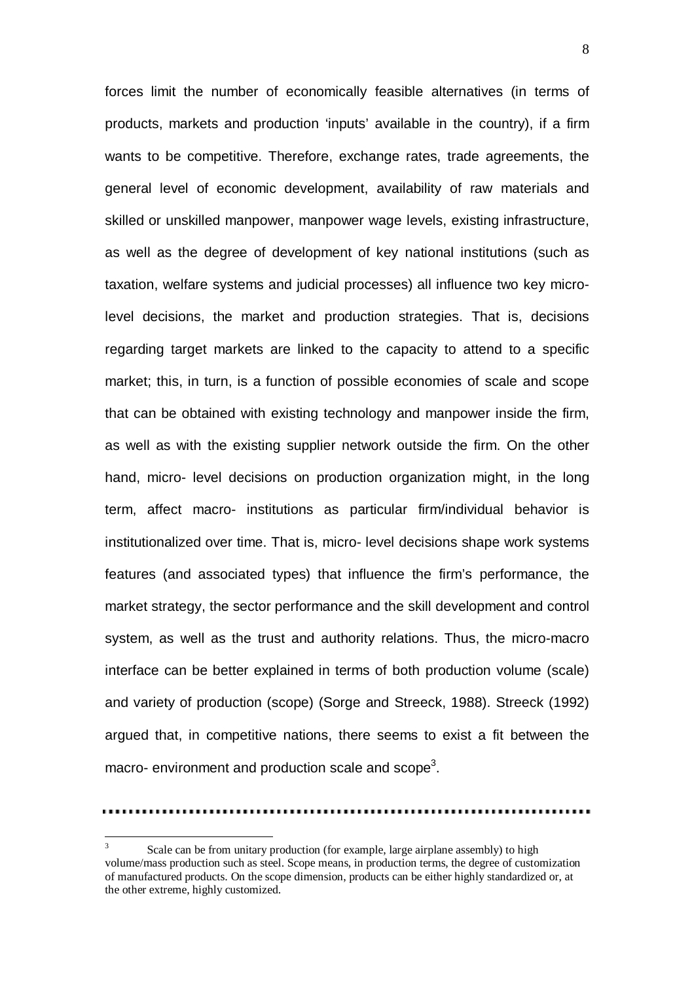forces limit the number of economically feasible alternatives (in terms of products, markets and production 'inputs' available in the country), if a firm wants to be competitive. Therefore, exchange rates, trade agreements, the general level of economic development, availability of raw materials and skilled or unskilled manpower, manpower wage levels, existing infrastructure, as well as the degree of development of key national institutions (such as taxation, welfare systems and judicial processes) all influence two key microlevel decisions, the market and production strategies. That is, decisions regarding target markets are linked to the capacity to attend to a specific market; this, in turn, is a function of possible economies of scale and scope that can be obtained with existing technology and manpower inside the firm, as well as with the existing supplier network outside the firm. On the other hand, micro- level decisions on production organization might, in the long term, affect macro- institutions as particular firm/individual behavior is institutionalized over time. That is, micro- level decisions shape work systems features (and associated types) that influence the firm's performance, the market strategy, the sector performance and the skill development and control system, as well as the trust and authority relations. Thus, the micro-macro interface can be better explained in terms of both production volume (scale) and variety of production (scope) (Sorge and Streeck, 1988). Streeck (1992) argued that, in competitive nations, there seems to exist a fit between the macro- environment and production scale and scope<sup>3</sup>.

 $\frac{1}{3}$  Scale can be from unitary production (for example, large airplane assembly) to high volume/mass production such as steel. Scope means, in production terms, the degree of customization of manufactured products. On the scope dimension, products can be either highly standardized or, at the other extreme, highly customized.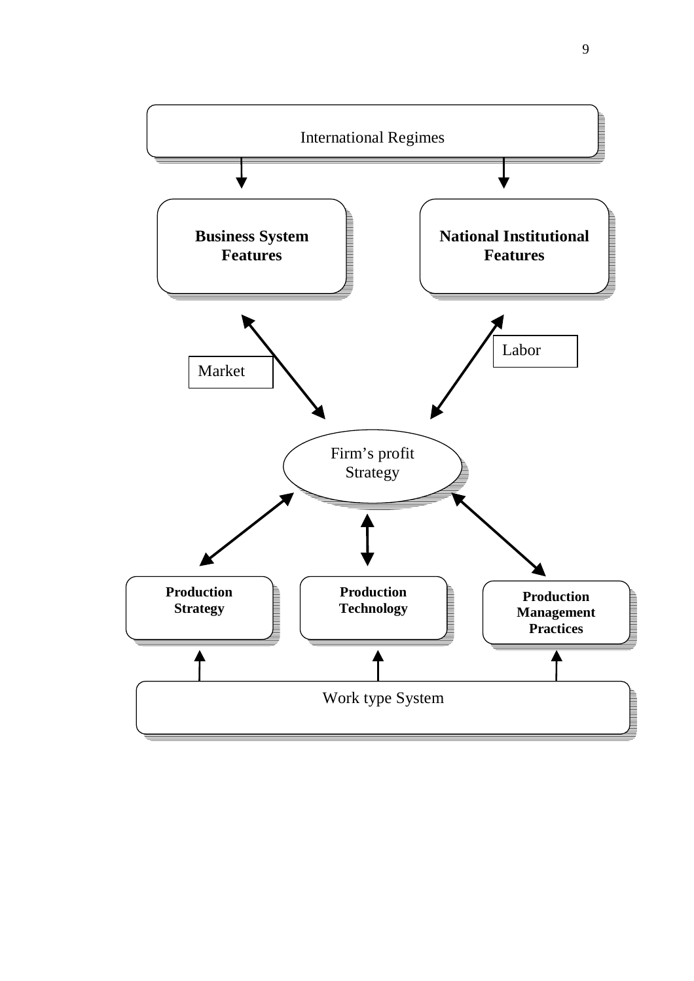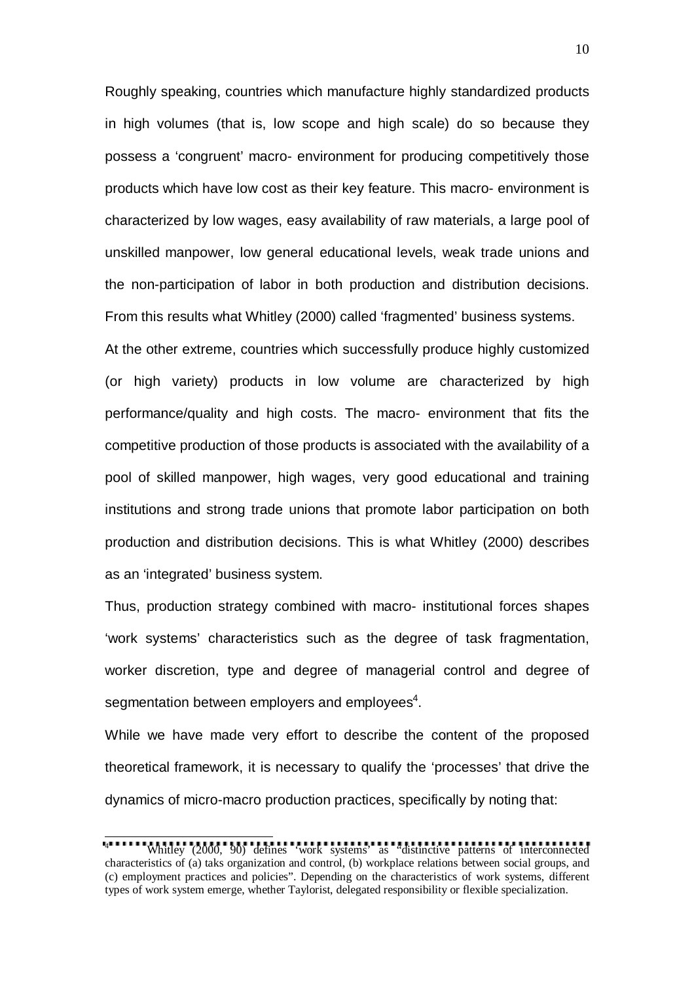Roughly speaking, countries which manufacture highly standardized products in high volumes (that is, low scope and high scale) do so because they possess a 'congruent' macro- environment for producing competitively those products which have low cost as their key feature. This macro- environment is characterized by low wages, easy availability of raw materials, a large pool of unskilled manpower, low general educational levels, weak trade unions and the non-participation of labor in both production and distribution decisions. From this results what Whitley (2000) called 'fragmented' business systems. At the other extreme, countries which successfully produce highly customized (or high variety) products in low volume are characterized by high performance/quality and high costs. The macro- environment that fits the competitive production of those products is associated with the availability of a pool of skilled manpower, high wages, very good educational and training institutions and strong trade unions that promote labor participation on both production and distribution decisions. This is what Whitley (2000) describes

as an 'integrated' business system.

Thus, production strategy combined with macro- institutional forces shapes 'work systems' characteristics such as the degree of task fragmentation, worker discretion, type and degree of managerial control and degree of segmentation between employers and employees $\rm ^4.$ 

While we have made very effort to describe the content of the proposed theoretical framework, it is necessary to qualify the 'processes' that drive the dynamics of micro-macro production practices, specifically by noting that:

 4 Whitley (2000, 90) defines 'work systems' as "distinctive patterns of interconnected characteristics of (a) taks organization and control, (b) workplace relations between social groups, and (c) employment practices and policies". Depending on the characteristics of work systems, different types of work system emerge, whether Taylorist, delegated responsibility or flexible specialization.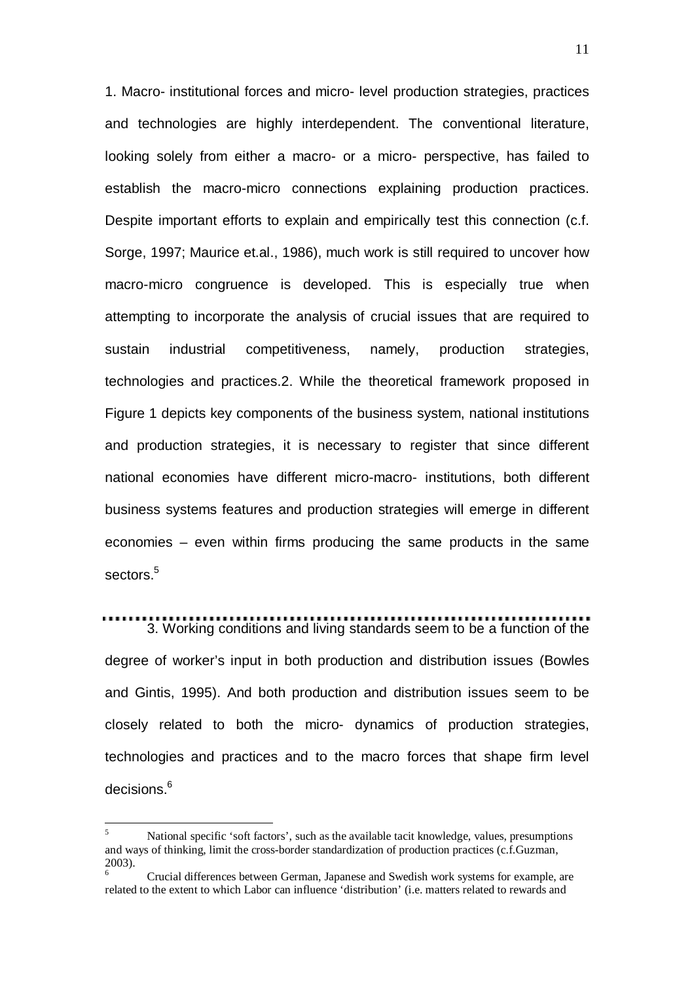1. Macro- institutional forces and micro- level production strategies, practices and technologies are highly interdependent. The conventional literature, looking solely from either a macro- or a micro- perspective, has failed to establish the macro-micro connections explaining production practices. Despite important efforts to explain and empirically test this connection (c.f. Sorge, 1997; Maurice et.al., 1986), much work is still required to uncover how macro-micro congruence is developed. This is especially true when attempting to incorporate the analysis of crucial issues that are required to sustain industrial competitiveness, namely, production strategies, technologies and practices.2. While the theoretical framework proposed in Figure 1 depicts key components of the business system, national institutions and production strategies, it is necessary to register that since different national economies have different micro-macro- institutions, both different business systems features and production strategies will emerge in different economies – even within firms producing the same products in the same sectors<sup>5</sup>

## 3. Working conditions and living standards seem to be a function of the

degree of worker's input in both production and distribution issues (Bowles and Gintis, 1995). And both production and distribution issues seem to be closely related to both the micro- dynamics of production strategies, technologies and practices and to the macro forces that shape firm level decisions.<sup>6</sup>

 $\overline{a}$ 

<sup>5</sup> National specific 'soft factors', such as the available tacit knowledge, values, presumptions and ways of thinking, limit the cross-border standardization of production practices (c.f.Guzman, 2003).

<sup>6</sup> Crucial differences between German, Japanese and Swedish work systems for example, are related to the extent to which Labor can influence 'distribution' (i.e. matters related to rewards and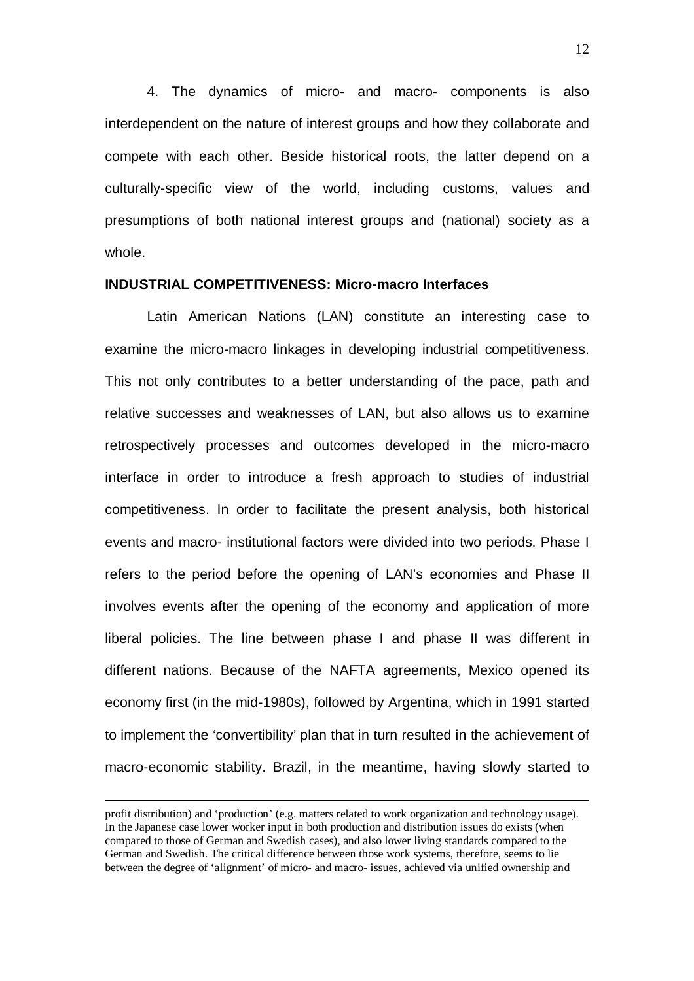4. The dynamics of micro- and macro- components is also interdependent on the nature of interest groups and how they collaborate and compete with each other. Beside historical roots, the latter depend on a culturally-specific view of the world, including customs, values and presumptions of both national interest groups and (national) society as a whole.

#### **INDUSTRIAL COMPETITIVENESS: Micro-macro Interfaces**

Latin American Nations (LAN) constitute an interesting case to examine the micro-macro linkages in developing industrial competitiveness. This not only contributes to a better understanding of the pace, path and relative successes and weaknesses of LAN, but also allows us to examine retrospectively processes and outcomes developed in the micro-macro interface in order to introduce a fresh approach to studies of industrial competitiveness. In order to facilitate the present analysis, both historical events and macro- institutional factors were divided into two periods. Phase I refers to the period before the opening of LAN's economies and Phase II involves events after the opening of the economy and application of more liberal policies. The line between phase I and phase II was different in different nations. Because of the NAFTA agreements, Mexico opened its economy first (in the mid-1980s), followed by Argentina, which in 1991 started to implement the 'convertibility' plan that in turn resulted in the achievement of macro-economic stability. Brazil, in the meantime, having slowly started to

profit distribution) and 'production' (e.g. matters related to work organization and technology usage). In the Japanese case lower worker input in both production and distribution issues do exists (when compared to those of German and Swedish cases), and also lower living standards compared to the German and Swedish. The critical difference between those work systems, therefore, seems to lie between the degree of 'alignment' of micro- and macro- issues, achieved via unified ownership and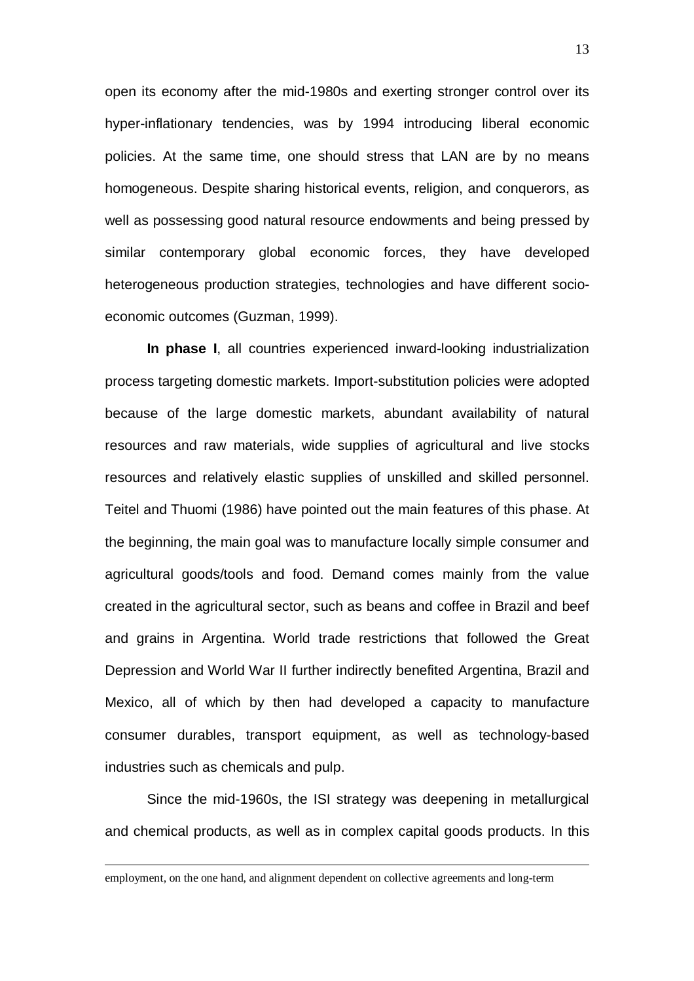open its economy after the mid-1980s and exerting stronger control over its hyper-inflationary tendencies, was by 1994 introducing liberal economic policies. At the same time, one should stress that LAN are by no means homogeneous. Despite sharing historical events, religion, and conquerors, as well as possessing good natural resource endowments and being pressed by similar contemporary global economic forces, they have developed heterogeneous production strategies, technologies and have different socioeconomic outcomes (Guzman, 1999).

**In phase I**, all countries experienced inward-looking industrialization process targeting domestic markets. Import-substitution policies were adopted because of the large domestic markets, abundant availability of natural resources and raw materials, wide supplies of agricultural and live stocks resources and relatively elastic supplies of unskilled and skilled personnel. Teitel and Thuomi (1986) have pointed out the main features of this phase. At the beginning, the main goal was to manufacture locally simple consumer and agricultural goods/tools and food. Demand comes mainly from the value created in the agricultural sector, such as beans and coffee in Brazil and beef and grains in Argentina. World trade restrictions that followed the Great Depression and World War II further indirectly benefited Argentina, Brazil and Mexico, all of which by then had developed a capacity to manufacture consumer durables, transport equipment, as well as technology-based industries such as chemicals and pulp.

Since the mid-1960s, the ISI strategy was deepening in metallurgical and chemical products, as well as in complex capital goods products. In this

employment, on the one hand, and alignment dependent on collective agreements and long-term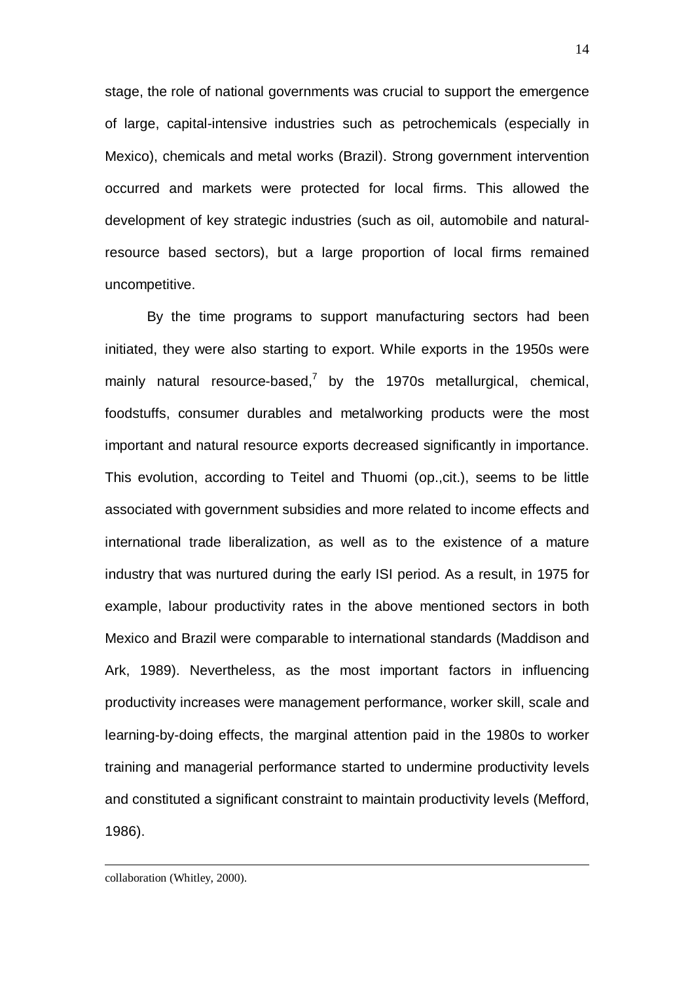stage, the role of national governments was crucial to support the emergence of large, capital-intensive industries such as petrochemicals (especially in Mexico), chemicals and metal works (Brazil). Strong government intervention occurred and markets were protected for local firms. This allowed the development of key strategic industries (such as oil, automobile and naturalresource based sectors), but a large proportion of local firms remained uncompetitive.

By the time programs to support manufacturing sectors had been initiated, they were also starting to export. While exports in the 1950s were mainly natural resource-based,<sup>7</sup> by the 1970s metallurgical, chemical, foodstuffs, consumer durables and metalworking products were the most important and natural resource exports decreased significantly in importance. This evolution, according to Teitel and Thuomi (op.,cit.), seems to be little associated with government subsidies and more related to income effects and international trade liberalization, as well as to the existence of a mature industry that was nurtured during the early ISI period. As a result, in 1975 for example, labour productivity rates in the above mentioned sectors in both Mexico and Brazil were comparable to international standards (Maddison and Ark, 1989). Nevertheless, as the most important factors in influencing productivity increases were management performance, worker skill, scale and learning-by-doing effects, the marginal attention paid in the 1980s to worker training and managerial performance started to undermine productivity levels and constituted a significant constraint to maintain productivity levels (Mefford, 1986).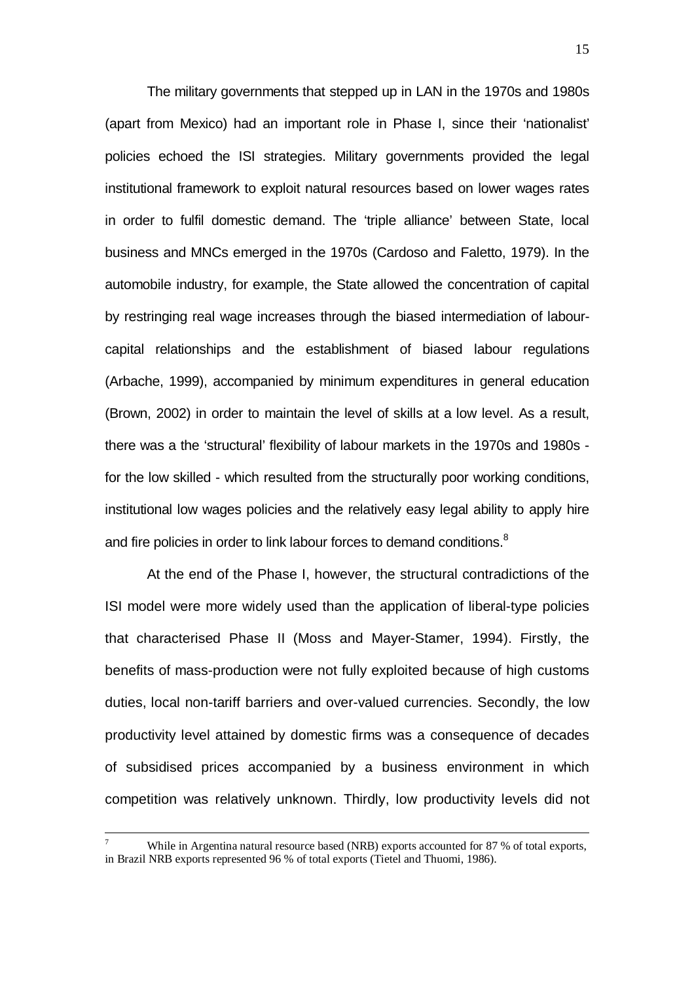The military governments that stepped up in LAN in the 1970s and 1980s (apart from Mexico) had an important role in Phase I, since their 'nationalist' policies echoed the ISI strategies. Military governments provided the legal institutional framework to exploit natural resources based on lower wages rates in order to fulfil domestic demand. The 'triple alliance' between State, local business and MNCs emerged in the 1970s (Cardoso and Faletto, 1979). In the automobile industry, for example, the State allowed the concentration of capital by restringing real wage increases through the biased intermediation of labourcapital relationships and the establishment of biased labour regulations (Arbache, 1999), accompanied by minimum expenditures in general education (Brown, 2002) in order to maintain the level of skills at a low level. As a result, there was a the 'structural' flexibility of labour markets in the 1970s and 1980s for the low skilled - which resulted from the structurally poor working conditions, institutional low wages policies and the relatively easy legal ability to apply hire and fire policies in order to link labour forces to demand conditions.<sup>8</sup>

At the end of the Phase I, however, the structural contradictions of the ISI model were more widely used than the application of liberal-type policies that characterised Phase II (Moss and Mayer-Stamer, 1994). Firstly, the benefits of mass-production were not fully exploited because of high customs duties, local non-tariff barriers and over-valued currencies. Secondly, the low productivity level attained by domestic firms was a consequence of decades of subsidised prices accompanied by a business environment in which competition was relatively unknown. Thirdly, low productivity levels did not

<sup>-&</sup>lt;br>7 While in Argentina natural resource based (NRB) exports accounted for 87 % of total exports, in Brazil NRB exports represented 96 % of total exports (Tietel and Thuomi, 1986).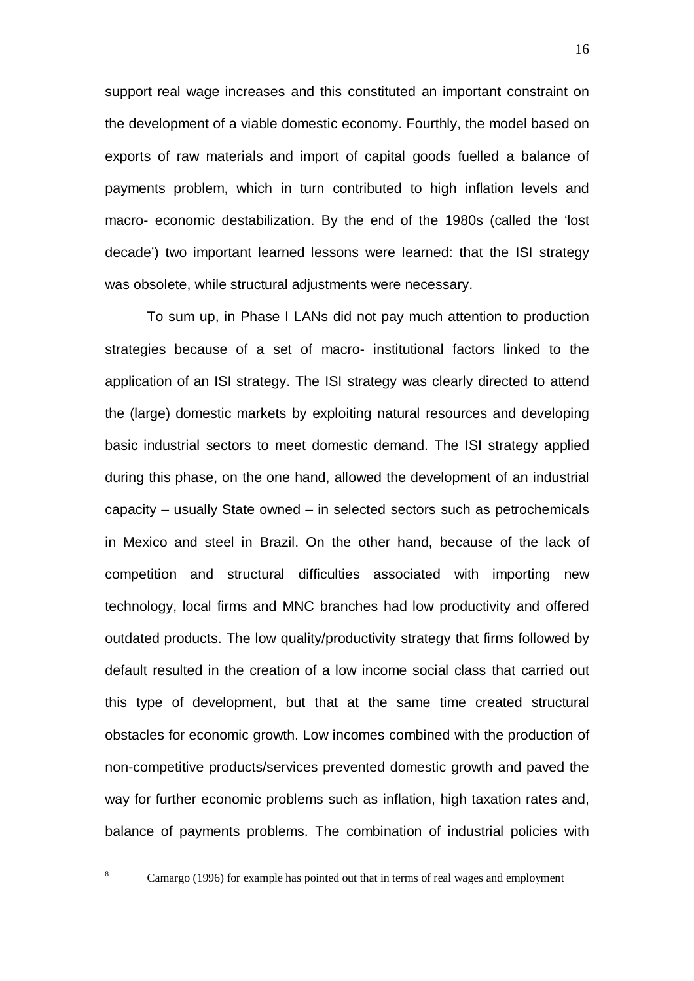support real wage increases and this constituted an important constraint on the development of a viable domestic economy. Fourthly, the model based on exports of raw materials and import of capital goods fuelled a balance of payments problem, which in turn contributed to high inflation levels and macro- economic destabilization. By the end of the 1980s (called the 'lost decade') two important learned lessons were learned: that the ISI strategy was obsolete, while structural adjustments were necessary.

To sum up, in Phase I LANs did not pay much attention to production strategies because of a set of macro- institutional factors linked to the application of an ISI strategy. The ISI strategy was clearly directed to attend the (large) domestic markets by exploiting natural resources and developing basic industrial sectors to meet domestic demand. The ISI strategy applied during this phase, on the one hand, allowed the development of an industrial capacity – usually State owned – in selected sectors such as petrochemicals in Mexico and steel in Brazil. On the other hand, because of the lack of competition and structural difficulties associated with importing new technology, local firms and MNC branches had low productivity and offered outdated products. The low quality/productivity strategy that firms followed by default resulted in the creation of a low income social class that carried out this type of development, but that at the same time created structural obstacles for economic growth. Low incomes combined with the production of non-competitive products/services prevented domestic growth and paved the way for further economic problems such as inflation, high taxation rates and, balance of payments problems. The combination of industrial policies with

8

<sup>8</sup> Camargo (1996) for example has pointed out that in terms of real wages and employment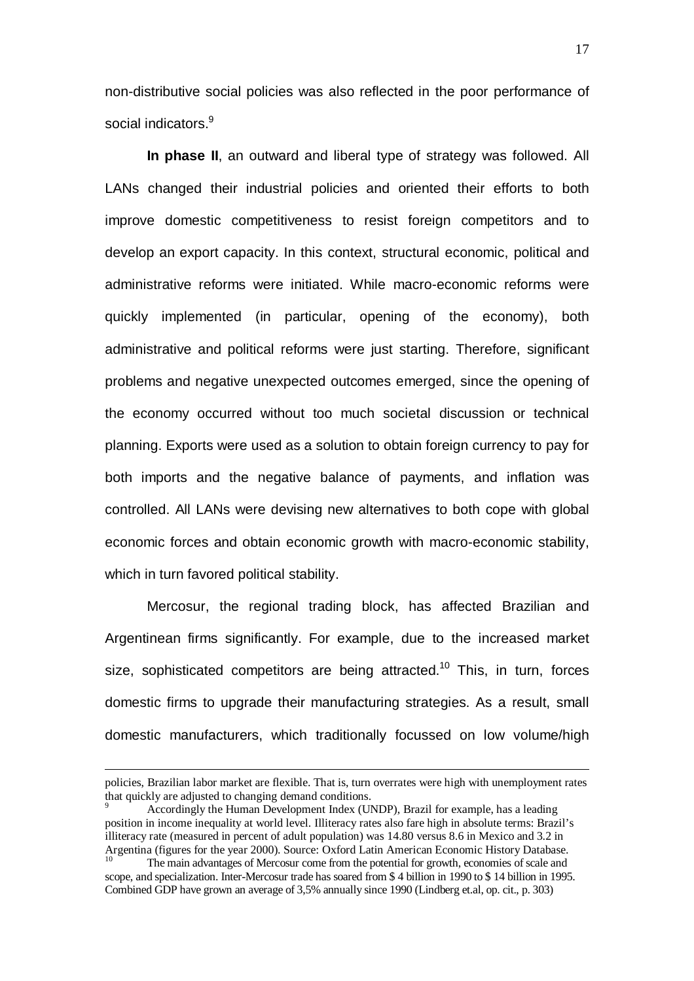non-distributive social policies was also reflected in the poor performance of social indicators<sup>9</sup>

**In phase II**, an outward and liberal type of strategy was followed. All LANs changed their industrial policies and oriented their efforts to both improve domestic competitiveness to resist foreign competitors and to develop an export capacity. In this context, structural economic, political and administrative reforms were initiated. While macro-economic reforms were quickly implemented (in particular, opening of the economy), both administrative and political reforms were just starting. Therefore, significant problems and negative unexpected outcomes emerged, since the opening of the economy occurred without too much societal discussion or technical planning. Exports were used as a solution to obtain foreign currency to pay for both imports and the negative balance of payments, and inflation was controlled. All LANs were devising new alternatives to both cope with global economic forces and obtain economic growth with macro-economic stability, which in turn favored political stability.

Mercosur, the regional trading block, has affected Brazilian and Argentinean firms significantly. For example, due to the increased market size, sophisticated competitors are being attracted.<sup>10</sup> This, in turn, forces domestic firms to upgrade their manufacturing strategies. As a result, small domestic manufacturers, which traditionally focussed on low volume/high

 $\overline{a}$ 

policies, Brazilian labor market are flexible. That is, turn overrates were high with unemployment rates that quickly are adjusted to changing demand conditions.

<sup>9</sup> Accordingly the Human Development Index (UNDP), Brazil for example, has a leading position in income inequality at world level. Illiteracy rates also fare high in absolute terms: Brazil's illiteracy rate (measured in percent of adult population) was 14.80 versus 8.6 in Mexico and 3.2 in Argentina (figures for the year 2000). Source: Oxford Latin American Economic History Database.

The main advantages of Mercosur come from the potential for growth, economies of scale and scope, and specialization. Inter-Mercosur trade has soared from \$ 4 billion in 1990 to \$ 14 billion in 1995. Combined GDP have grown an average of 3,5% annually since 1990 (Lindberg et.al, op. cit., p. 303)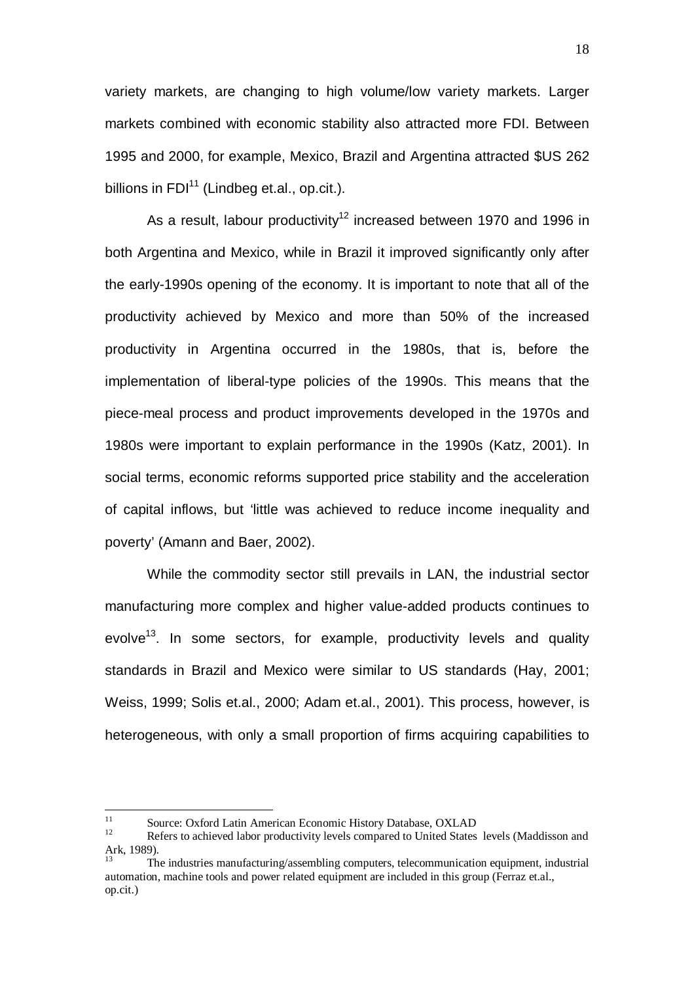variety markets, are changing to high volume/low variety markets. Larger markets combined with economic stability also attracted more FDI. Between 1995 and 2000, for example, Mexico, Brazil and Argentina attracted \$US 262 billions in  $FDI<sup>11</sup>$  (Lindbeg et.al., op.cit.).

As a result, labour productivity<sup>12</sup> increased between 1970 and 1996 in both Argentina and Mexico, while in Brazil it improved significantly only after the early-1990s opening of the economy. It is important to note that all of the productivity achieved by Mexico and more than 50% of the increased productivity in Argentina occurred in the 1980s, that is, before the implementation of liberal-type policies of the 1990s. This means that the piece-meal process and product improvements developed in the 1970s and 1980s were important to explain performance in the 1990s (Katz, 2001). In social terms, economic reforms supported price stability and the acceleration of capital inflows, but 'little was achieved to reduce income inequality and poverty' (Amann and Baer, 2002).

While the commodity sector still prevails in LAN, the industrial sector manufacturing more complex and higher value-added products continues to evolve<sup>13</sup>. In some sectors, for example, productivity levels and quality standards in Brazil and Mexico were similar to US standards (Hay, 2001; Weiss, 1999; Solis et.al., 2000; Adam et.al., 2001). This process, however, is heterogeneous, with only a small proportion of firms acquiring capabilities to

 $11$ <sup>11</sup> Source: Oxford Latin American Economic History Database, OXLAD<br> **Defers to sobjeted labor productivity layels compared to United States** 

<sup>12</sup> Refers to achieved labor productivity levels compared to United States levels (Maddisson and Ark, 1989).

The industries manufacturing/assembling computers, telecommunication equipment, industrial automation, machine tools and power related equipment are included in this group (Ferraz et.al., op.cit.)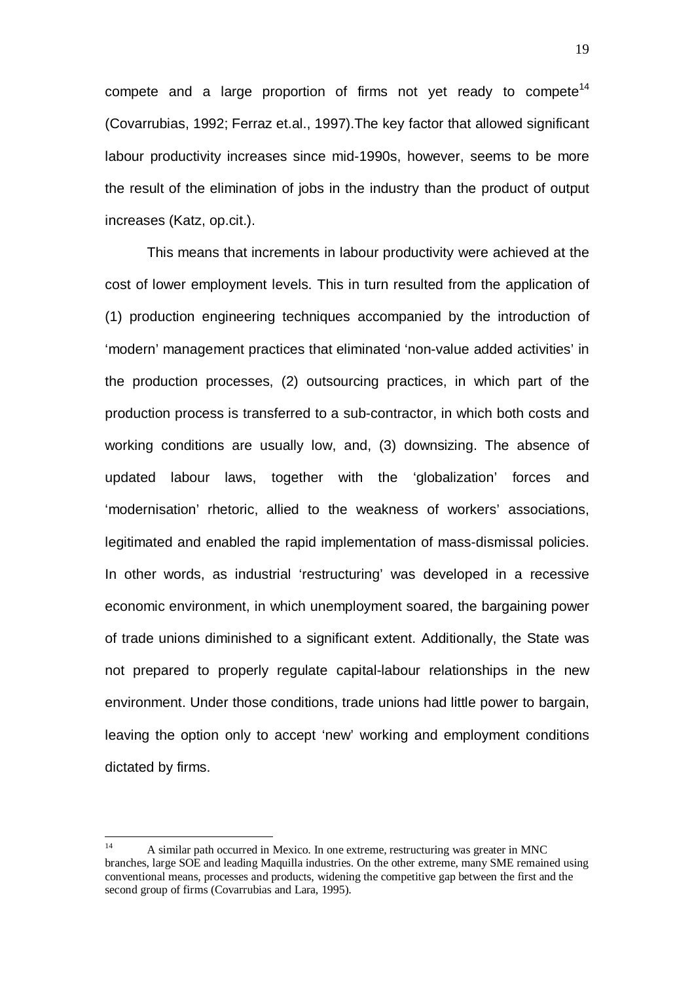compete and a large proportion of firms not yet ready to compete<sup>14</sup> (Covarrubias, 1992; Ferraz et.al., 1997).The key factor that allowed significant labour productivity increases since mid-1990s, however, seems to be more the result of the elimination of jobs in the industry than the product of output increases (Katz, op.cit.).

This means that increments in labour productivity were achieved at the cost of lower employment levels. This in turn resulted from the application of (1) production engineering techniques accompanied by the introduction of 'modern' management practices that eliminated 'non-value added activities' in the production processes, (2) outsourcing practices, in which part of the production process is transferred to a sub-contractor, in which both costs and working conditions are usually low, and, (3) downsizing. The absence of updated labour laws, together with the 'globalization' forces and 'modernisation' rhetoric, allied to the weakness of workers' associations, legitimated and enabled the rapid implementation of mass-dismissal policies. In other words, as industrial 'restructuring' was developed in a recessive economic environment, in which unemployment soared, the bargaining power of trade unions diminished to a significant extent. Additionally, the State was not prepared to properly regulate capital-labour relationships in the new environment. Under those conditions, trade unions had little power to bargain, leaving the option only to accept 'new' working and employment conditions dictated by firms.

 $14$ 14 A similar path occurred in Mexico. In one extreme, restructuring was greater in MNC branches, large SOE and leading Maquilla industries. On the other extreme, many SME remained using conventional means, processes and products, widening the competitive gap between the first and the second group of firms (Covarrubias and Lara, 1995).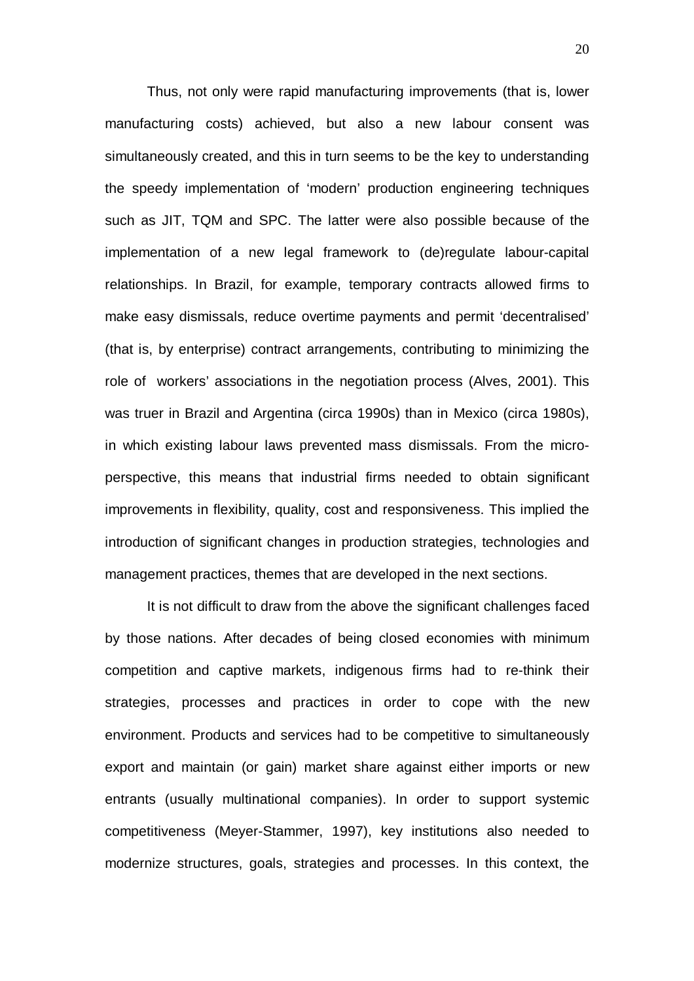Thus, not only were rapid manufacturing improvements (that is, lower manufacturing costs) achieved, but also a new labour consent was simultaneously created, and this in turn seems to be the key to understanding the speedy implementation of 'modern' production engineering techniques such as JIT, TQM and SPC. The latter were also possible because of the implementation of a new legal framework to (de)regulate labour-capital relationships. In Brazil, for example, temporary contracts allowed firms to make easy dismissals, reduce overtime payments and permit 'decentralised' (that is, by enterprise) contract arrangements, contributing to minimizing the role of workers' associations in the negotiation process (Alves, 2001). This was truer in Brazil and Argentina (circa 1990s) than in Mexico (circa 1980s), in which existing labour laws prevented mass dismissals. From the microperspective, this means that industrial firms needed to obtain significant improvements in flexibility, quality, cost and responsiveness. This implied the introduction of significant changes in production strategies, technologies and management practices, themes that are developed in the next sections.

It is not difficult to draw from the above the significant challenges faced by those nations. After decades of being closed economies with minimum competition and captive markets, indigenous firms had to re-think their strategies, processes and practices in order to cope with the new environment. Products and services had to be competitive to simultaneously export and maintain (or gain) market share against either imports or new entrants (usually multinational companies). In order to support systemic competitiveness (Meyer-Stammer, 1997), key institutions also needed to modernize structures, goals, strategies and processes. In this context, the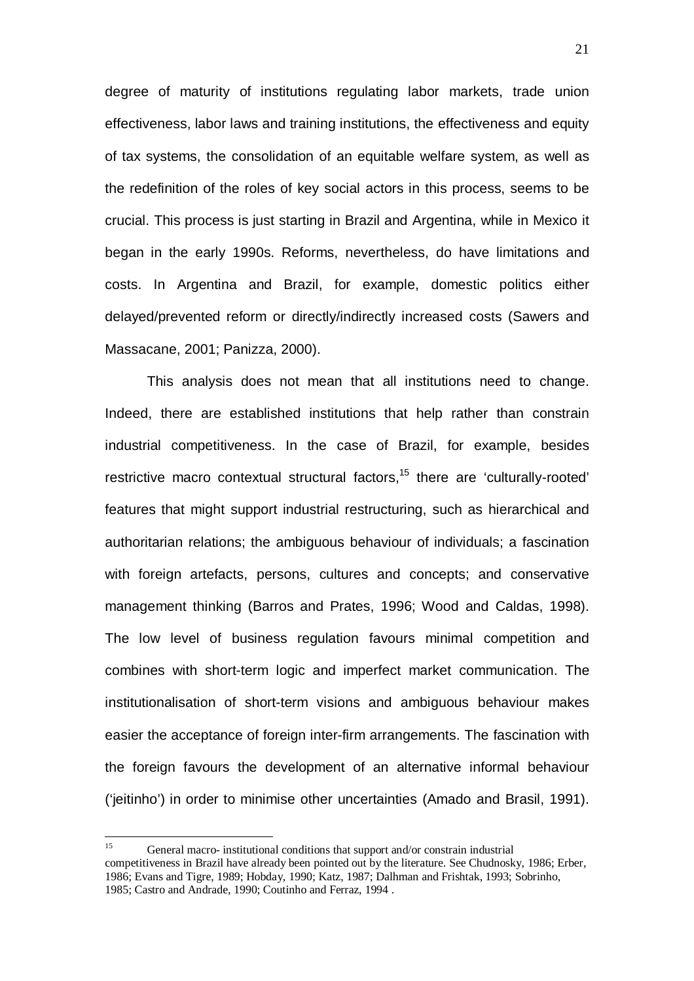degree of maturity of institutions regulating labor markets, trade union effectiveness, labor laws and training institutions, the effectiveness and equity of tax systems, the consolidation of an equitable welfare system, as well as the redefinition of the roles of key social actors in this process, seems to be crucial. This process is just starting in Brazil and Argentina, while in Mexico it began in the early 1990s. Reforms, nevertheless, do have limitations and costs. In Argentina and Brazil, for example, domestic politics either delayed/prevented reform or directly/indirectly increased costs (Sawers and Massacane, 2001; Panizza, 2000).

This analysis does not mean that all institutions need to change. Indeed, there are established institutions that help rather than constrain industrial competitiveness. In the case of Brazil, for example, besides restrictive macro contextual structural factors, $15$  there are 'culturally-rooted' features that might support industrial restructuring, such as hierarchical and authoritarian relations; the ambiguous behaviour of individuals; a fascination with foreign artefacts, persons, cultures and concepts; and conservative management thinking (Barros and Prates, 1996; Wood and Caldas, 1998). The low level of business regulation favours minimal competition and combines with short-term logic and imperfect market communication. The institutionalisation of short-term visions and ambiguous behaviour makes easier the acceptance of foreign inter-firm arrangements. The fascination with the foreign favours the development of an alternative informal behaviour ('jeitinho') in order to minimise other uncertainties (Amado and Brasil, 1991).

 $15$ General macro- institutional conditions that support and/or constrain industrial competitiveness in Brazil have already been pointed out by the literature. See Chudnosky, 1986; Erber, 1986; Evans and Tigre, 1989; Hobday, 1990; Katz, 1987; Dalhman and Frishtak, 1993; Sobrinho, 1985; Castro and Andrade, 1990; Coutinho and Ferraz, 1994 .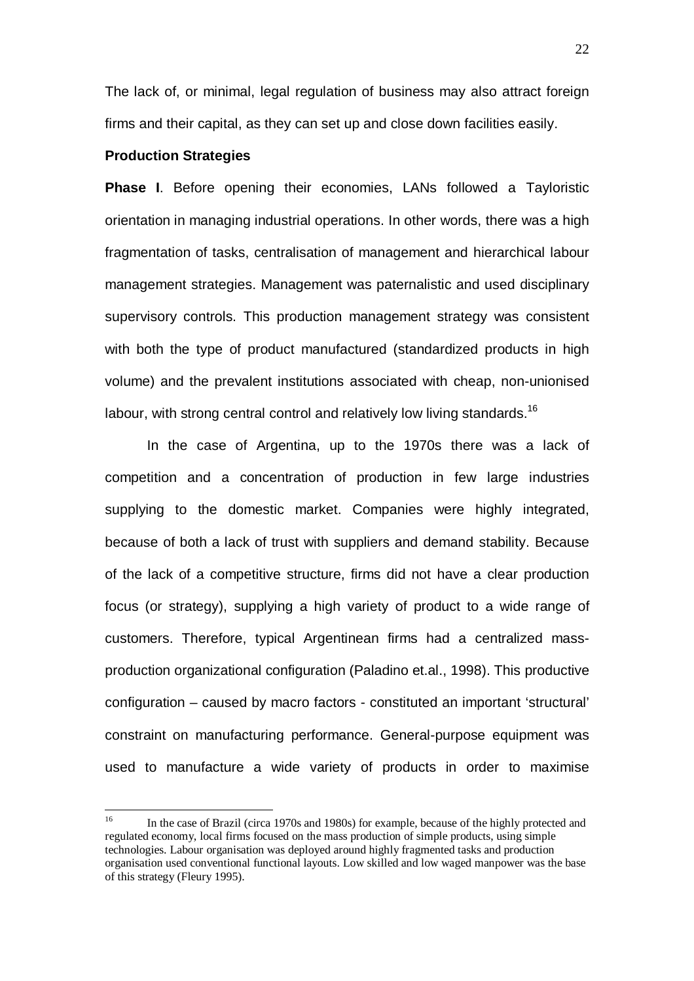The lack of, or minimal, legal regulation of business may also attract foreign firms and their capital, as they can set up and close down facilities easily.

#### **Production Strategies**

**Phase I**. Before opening their economies, LANs followed a Tayloristic orientation in managing industrial operations. In other words, there was a high fragmentation of tasks, centralisation of management and hierarchical labour management strategies. Management was paternalistic and used disciplinary supervisory controls. This production management strategy was consistent with both the type of product manufactured (standardized products in high volume) and the prevalent institutions associated with cheap, non-unionised labour, with strong central control and relatively low living standards.<sup>16</sup>

In the case of Argentina, up to the 1970s there was a lack of competition and a concentration of production in few large industries supplying to the domestic market. Companies were highly integrated, because of both a lack of trust with suppliers and demand stability. Because of the lack of a competitive structure, firms did not have a clear production focus (or strategy), supplying a high variety of product to a wide range of customers. Therefore, typical Argentinean firms had a centralized massproduction organizational configuration (Paladino et.al., 1998). This productive configuration – caused by macro factors - constituted an important 'structural' constraint on manufacturing performance. General-purpose equipment was used to manufacture a wide variety of products in order to maximise

 $16$ 16 In the case of Brazil (circa 1970s and 1980s) for example, because of the highly protected and regulated economy, local firms focused on the mass production of simple products, using simple technologies. Labour organisation was deployed around highly fragmented tasks and production organisation used conventional functional layouts. Low skilled and low waged manpower was the base of this strategy (Fleury 1995).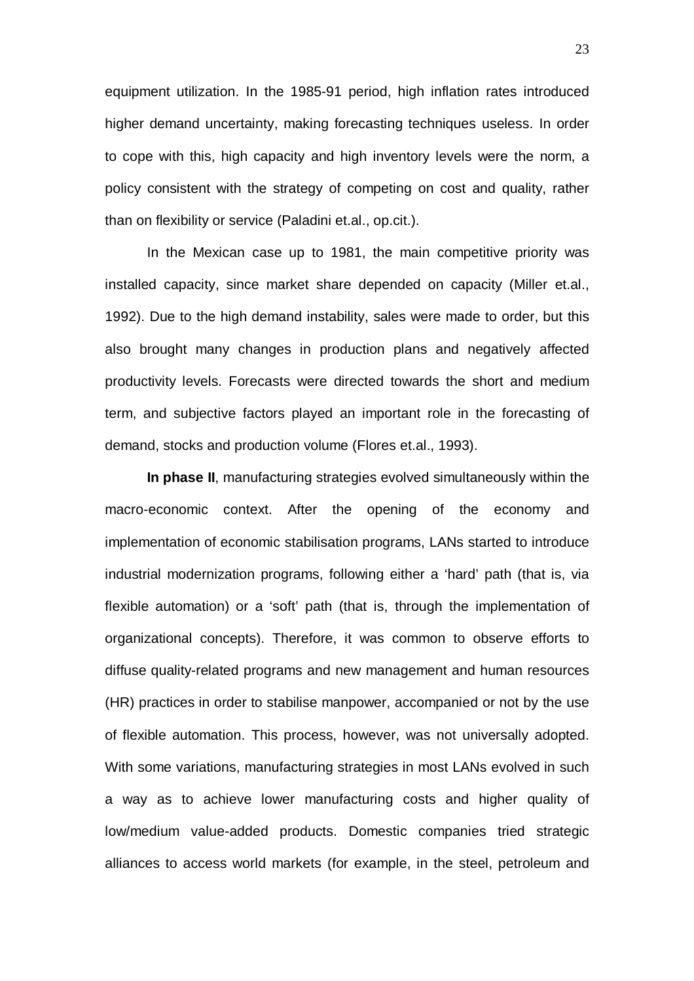equipment utilization. In the 1985-91 period, high inflation rates introduced higher demand uncertainty, making forecasting techniques useless. In order to cope with this, high capacity and high inventory levels were the norm, a policy consistent with the strategy of competing on cost and quality, rather than on flexibility or service (Paladini et.al., op.cit.).

In the Mexican case up to 1981, the main competitive priority was installed capacity, since market share depended on capacity (Miller et.al., 1992). Due to the high demand instability, sales were made to order, but this also brought many changes in production plans and negatively affected productivity levels. Forecasts were directed towards the short and medium term, and subjective factors played an important role in the forecasting of demand, stocks and production volume (Flores et.al., 1993).

**In phase II**, manufacturing strategies evolved simultaneously within the macro-economic context. After the opening of the economy and implementation of economic stabilisation programs, LANs started to introduce industrial modernization programs, following either a 'hard' path (that is, via flexible automation) or a 'soft' path (that is, through the implementation of organizational concepts). Therefore, it was common to observe efforts to diffuse quality-related programs and new management and human resources (HR) practices in order to stabilise manpower, accompanied or not by the use of flexible automation. This process, however, was not universally adopted. With some variations, manufacturing strategies in most LANs evolved in such a way as to achieve lower manufacturing costs and higher quality of low/medium value-added products. Domestic companies tried strategic alliances to access world markets (for example, in the steel, petroleum and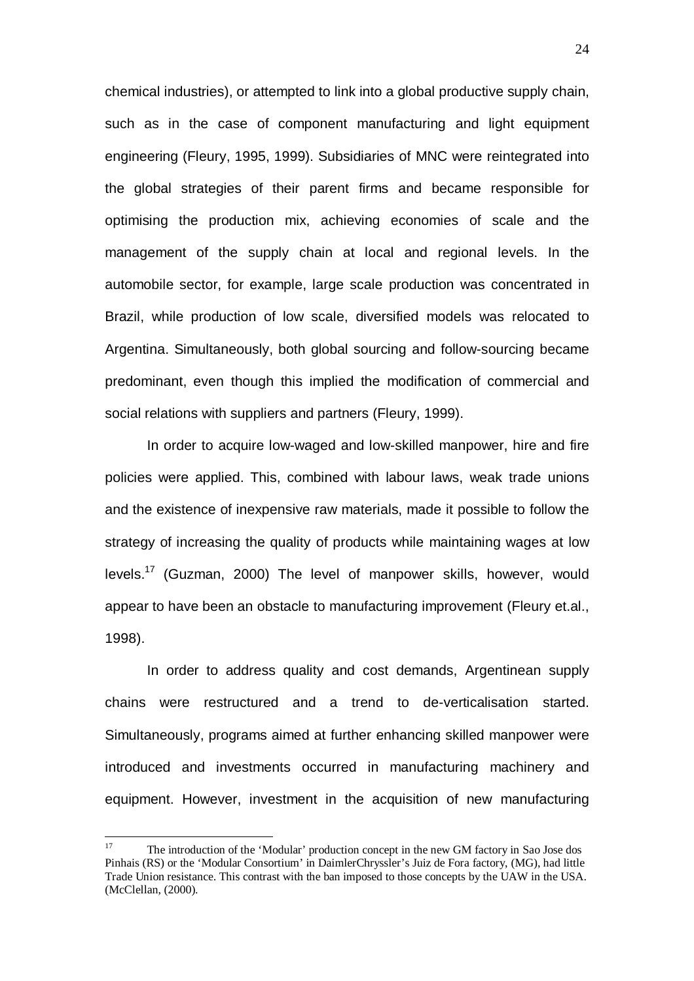chemical industries), or attempted to link into a global productive supply chain, such as in the case of component manufacturing and light equipment engineering (Fleury, 1995, 1999). Subsidiaries of MNC were reintegrated into the global strategies of their parent firms and became responsible for optimising the production mix, achieving economies of scale and the management of the supply chain at local and regional levels. In the automobile sector, for example, large scale production was concentrated in Brazil, while production of low scale, diversified models was relocated to Argentina. Simultaneously, both global sourcing and follow-sourcing became predominant, even though this implied the modification of commercial and social relations with suppliers and partners (Fleury, 1999).

In order to acquire low-waged and low-skilled manpower, hire and fire policies were applied. This, combined with labour laws, weak trade unions and the existence of inexpensive raw materials, made it possible to follow the strategy of increasing the quality of products while maintaining wages at low levels.17 (Guzman, 2000) The level of manpower skills, however, would appear to have been an obstacle to manufacturing improvement (Fleury et.al., 1998).

In order to address quality and cost demands, Argentinean supply chains were restructured and a trend to de-verticalisation started. Simultaneously, programs aimed at further enhancing skilled manpower were introduced and investments occurred in manufacturing machinery and equipment. However, investment in the acquisition of new manufacturing

 $17$ 17 The introduction of the 'Modular' production concept in the new GM factory in Sao Jose dos Pinhais (RS) or the 'Modular Consortium' in DaimlerChryssler's Juiz de Fora factory, (MG), had little Trade Union resistance. This contrast with the ban imposed to those concepts by the UAW in the USA. (McClellan, (2000).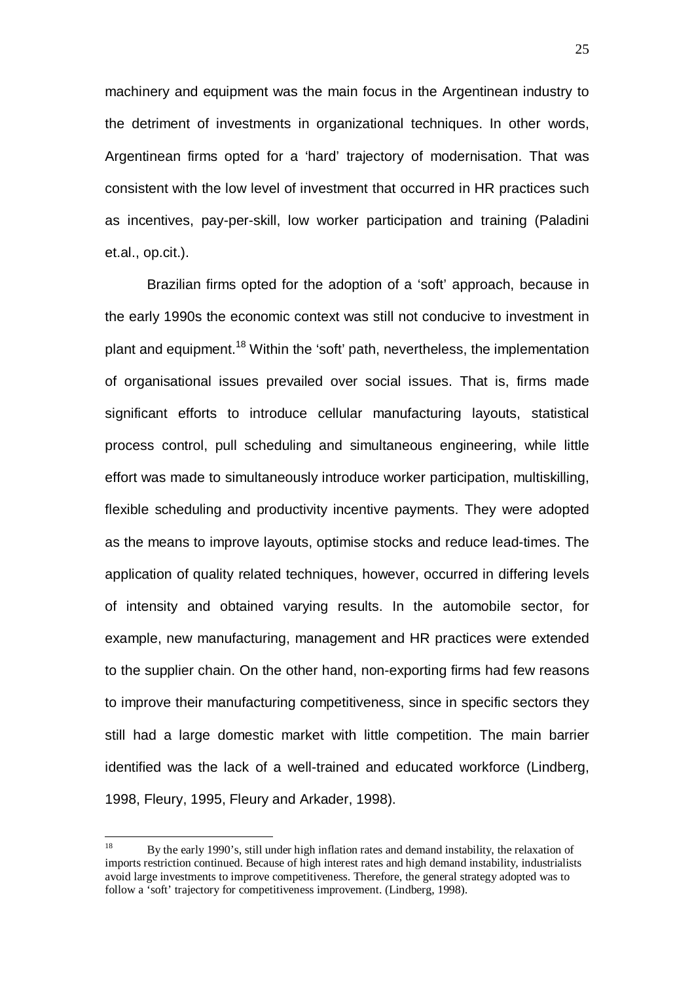machinery and equipment was the main focus in the Argentinean industry to the detriment of investments in organizational techniques. In other words, Argentinean firms opted for a 'hard' trajectory of modernisation. That was consistent with the low level of investment that occurred in HR practices such as incentives, pay-per-skill, low worker participation and training (Paladini et.al., op.cit.).

Brazilian firms opted for the adoption of a 'soft' approach, because in the early 1990s the economic context was still not conducive to investment in plant and equipment.<sup>18</sup> Within the 'soft' path, nevertheless, the implementation of organisational issues prevailed over social issues. That is, firms made significant efforts to introduce cellular manufacturing layouts, statistical process control, pull scheduling and simultaneous engineering, while little effort was made to simultaneously introduce worker participation, multiskilling, flexible scheduling and productivity incentive payments. They were adopted as the means to improve layouts, optimise stocks and reduce lead-times. The application of quality related techniques, however, occurred in differing levels of intensity and obtained varying results. In the automobile sector, for example, new manufacturing, management and HR practices were extended to the supplier chain. On the other hand, non-exporting firms had few reasons to improve their manufacturing competitiveness, since in specific sectors they still had a large domestic market with little competition. The main barrier identified was the lack of a well-trained and educated workforce (Lindberg, 1998, Fleury, 1995, Fleury and Arkader, 1998).

<sup>18</sup> 18 By the early 1990's, still under high inflation rates and demand instability, the relaxation of imports restriction continued. Because of high interest rates and high demand instability, industrialists avoid large investments to improve competitiveness. Therefore, the general strategy adopted was to follow a 'soft' trajectory for competitiveness improvement. (Lindberg, 1998).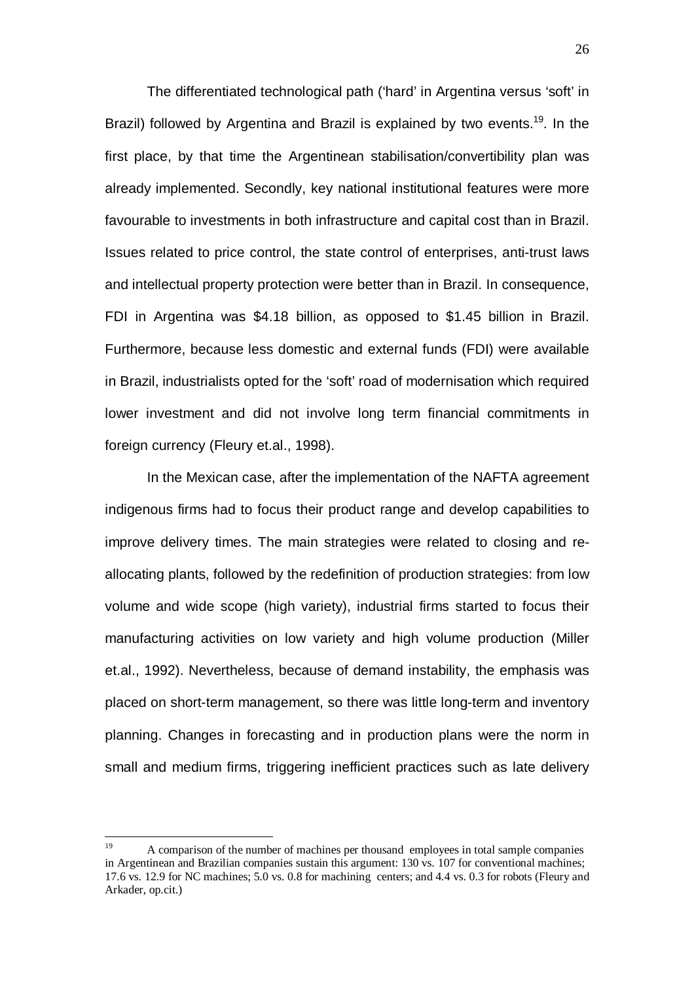The differentiated technological path ('hard' in Argentina versus 'soft' in Brazil) followed by Argentina and Brazil is explained by two events.<sup>19</sup>. In the first place, by that time the Argentinean stabilisation/convertibility plan was already implemented. Secondly, key national institutional features were more favourable to investments in both infrastructure and capital cost than in Brazil. Issues related to price control, the state control of enterprises, anti-trust laws and intellectual property protection were better than in Brazil. In consequence, FDI in Argentina was \$4.18 billion, as opposed to \$1.45 billion in Brazil. Furthermore, because less domestic and external funds (FDI) were available in Brazil, industrialists opted for the 'soft' road of modernisation which required lower investment and did not involve long term financial commitments in foreign currency (Fleury et.al., 1998).

In the Mexican case, after the implementation of the NAFTA agreement indigenous firms had to focus their product range and develop capabilities to improve delivery times. The main strategies were related to closing and reallocating plants, followed by the redefinition of production strategies: from low volume and wide scope (high variety), industrial firms started to focus their manufacturing activities on low variety and high volume production (Miller et.al., 1992). Nevertheless, because of demand instability, the emphasis was placed on short-term management, so there was little long-term and inventory planning. Changes in forecasting and in production plans were the norm in small and medium firms, triggering inefficient practices such as late delivery

 $19$ 19 A comparison of the number of machines per thousand employees in total sample companies in Argentinean and Brazilian companies sustain this argument: 130 vs. 107 for conventional machines; 17.6 vs. 12.9 for NC machines; 5.0 vs. 0.8 for machining centers; and 4.4 vs. 0.3 for robots (Fleury and Arkader, op.cit.)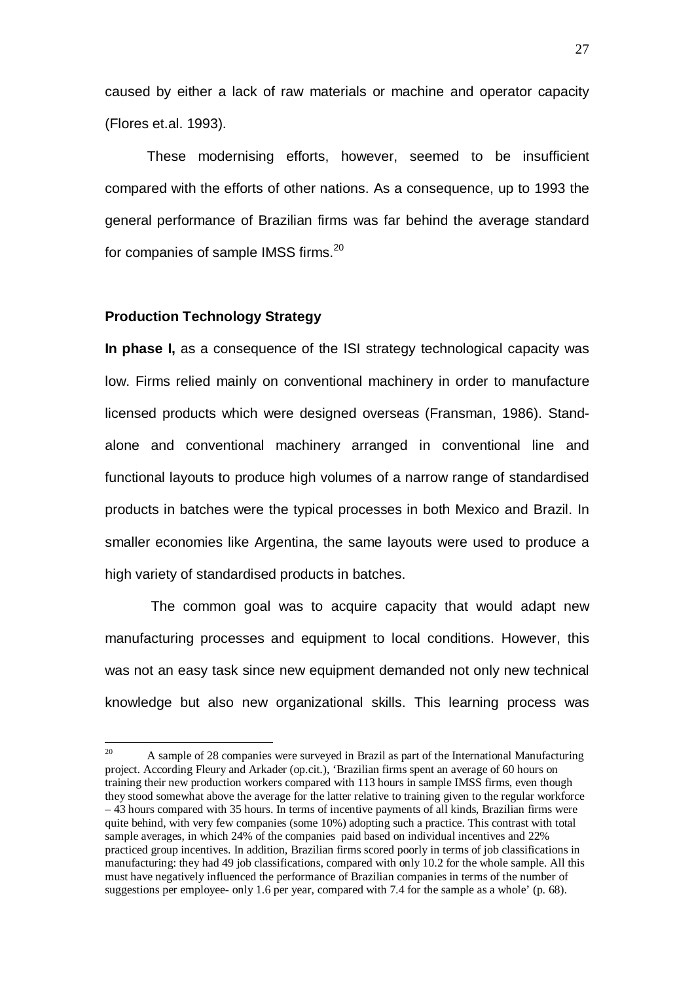caused by either a lack of raw materials or machine and operator capacity (Flores et.al. 1993).

These modernising efforts, however, seemed to be insufficient compared with the efforts of other nations. As a consequence, up to 1993 the general performance of Brazilian firms was far behind the average standard for companies of sample IMSS firms.<sup>20</sup>

#### **Production Technology Strategy**

 $\overline{a}$ 

**In phase I,** as a consequence of the ISI strategy technological capacity was low. Firms relied mainly on conventional machinery in order to manufacture licensed products which were designed overseas (Fransman, 1986). Standalone and conventional machinery arranged in conventional line and functional layouts to produce high volumes of a narrow range of standardised products in batches were the typical processes in both Mexico and Brazil. In smaller economies like Argentina, the same layouts were used to produce a high variety of standardised products in batches.

 The common goal was to acquire capacity that would adapt new manufacturing processes and equipment to local conditions. However, this was not an easy task since new equipment demanded not only new technical knowledge but also new organizational skills. This learning process was

<sup>20</sup> A sample of 28 companies were surveyed in Brazil as part of the International Manufacturing project. According Fleury and Arkader (op.cit.), 'Brazilian firms spent an average of 60 hours on training their new production workers compared with 113 hours in sample IMSS firms, even though they stood somewhat above the average for the latter relative to training given to the regular workforce – 43 hours compared with 35 hours. In terms of incentive payments of all kinds, Brazilian firms were quite behind, with very few companies (some 10%) adopting such a practice. This contrast with total sample averages, in which 24% of the companies paid based on individual incentives and 22% practiced group incentives. In addition, Brazilian firms scored poorly in terms of job classifications in manufacturing: they had 49 job classifications, compared with only 10.2 for the whole sample. All this must have negatively influenced the performance of Brazilian companies in terms of the number of suggestions per employee- only 1.6 per year, compared with 7.4 for the sample as a whole' (p. 68).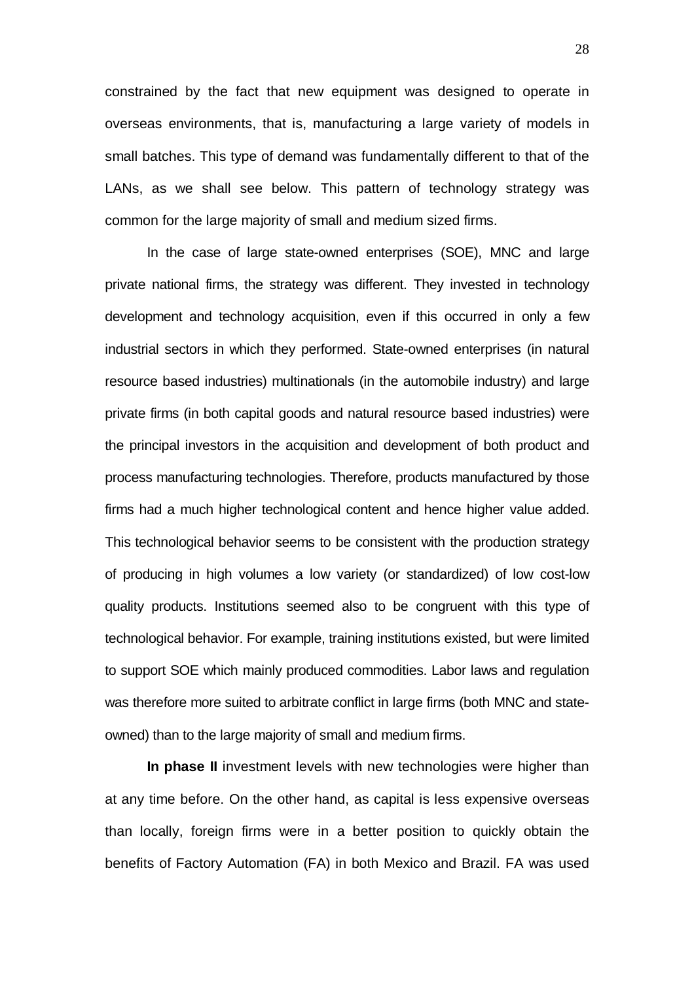constrained by the fact that new equipment was designed to operate in overseas environments, that is, manufacturing a large variety of models in small batches. This type of demand was fundamentally different to that of the LANs, as we shall see below. This pattern of technology strategy was common for the large majority of small and medium sized firms.

In the case of large state-owned enterprises (SOE), MNC and large private national firms, the strategy was different. They invested in technology development and technology acquisition, even if this occurred in only a few industrial sectors in which they performed. State-owned enterprises (in natural resource based industries) multinationals (in the automobile industry) and large private firms (in both capital goods and natural resource based industries) were the principal investors in the acquisition and development of both product and process manufacturing technologies. Therefore, products manufactured by those firms had a much higher technological content and hence higher value added. This technological behavior seems to be consistent with the production strategy of producing in high volumes a low variety (or standardized) of low cost-low quality products. Institutions seemed also to be congruent with this type of technological behavior. For example, training institutions existed, but were limited to support SOE which mainly produced commodities. Labor laws and regulation was therefore more suited to arbitrate conflict in large firms (both MNC and stateowned) than to the large majority of small and medium firms.

**In phase II** investment levels with new technologies were higher than at any time before. On the other hand, as capital is less expensive overseas than locally, foreign firms were in a better position to quickly obtain the benefits of Factory Automation (FA) in both Mexico and Brazil. FA was used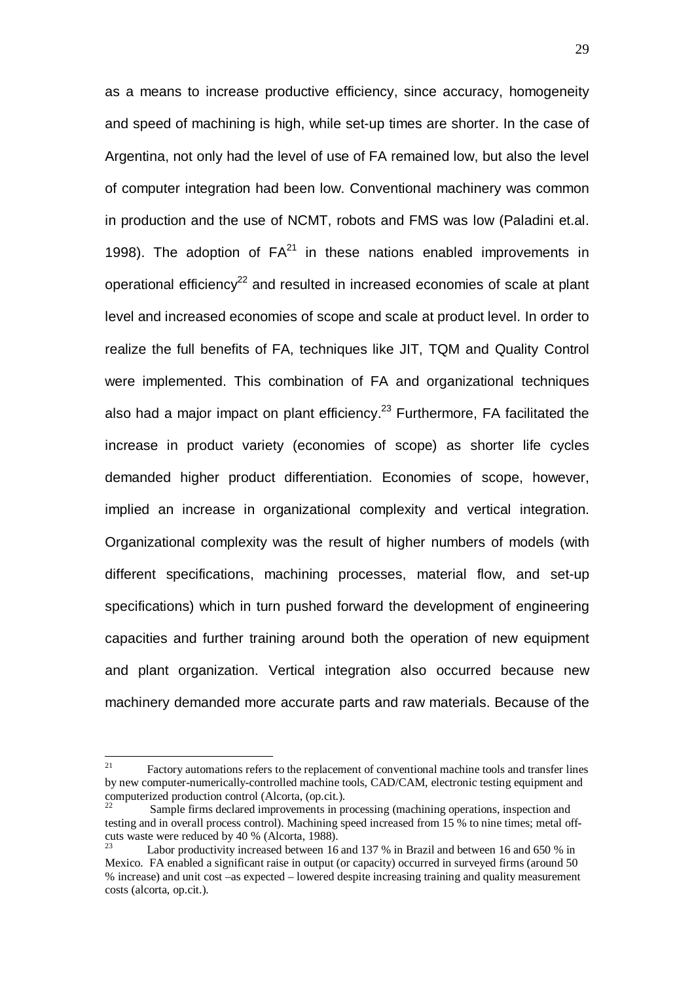as a means to increase productive efficiency, since accuracy, homogeneity and speed of machining is high, while set-up times are shorter. In the case of Argentina, not only had the level of use of FA remained low, but also the level of computer integration had been low. Conventional machinery was common in production and the use of NCMT, robots and FMS was low (Paladini et.al. 1998). The adoption of  $FA^{21}$  in these nations enabled improvements in operational efficiency<sup>22</sup> and resulted in increased economies of scale at plant level and increased economies of scope and scale at product level. In order to realize the full benefits of FA, techniques like JIT, TQM and Quality Control were implemented. This combination of FA and organizational techniques also had a major impact on plant efficiency.<sup>23</sup> Furthermore, FA facilitated the increase in product variety (economies of scope) as shorter life cycles demanded higher product differentiation. Economies of scope, however, implied an increase in organizational complexity and vertical integration. Organizational complexity was the result of higher numbers of models (with different specifications, machining processes, material flow, and set-up specifications) which in turn pushed forward the development of engineering capacities and further training around both the operation of new equipment and plant organization. Vertical integration also occurred because new machinery demanded more accurate parts and raw materials. Because of the

 $21$ 21 Factory automations refers to the replacement of conventional machine tools and transfer lines by new computer-numerically-controlled machine tools, CAD/CAM, electronic testing equipment and computerized production control (Alcorta, (op.cit.).

Sample firms declared improvements in processing (machining operations, inspection and testing and in overall process control). Machining speed increased from 15 % to nine times; metal offcuts waste were reduced by 40 % (Alcorta, 1988).

Labor productivity increased between 16 and 137 % in Brazil and between 16 and 650 % in Mexico. FA enabled a significant raise in output (or capacity) occurred in surveyed firms (around 50 % increase) and unit cost –as expected – lowered despite increasing training and quality measurement costs (alcorta, op.cit.).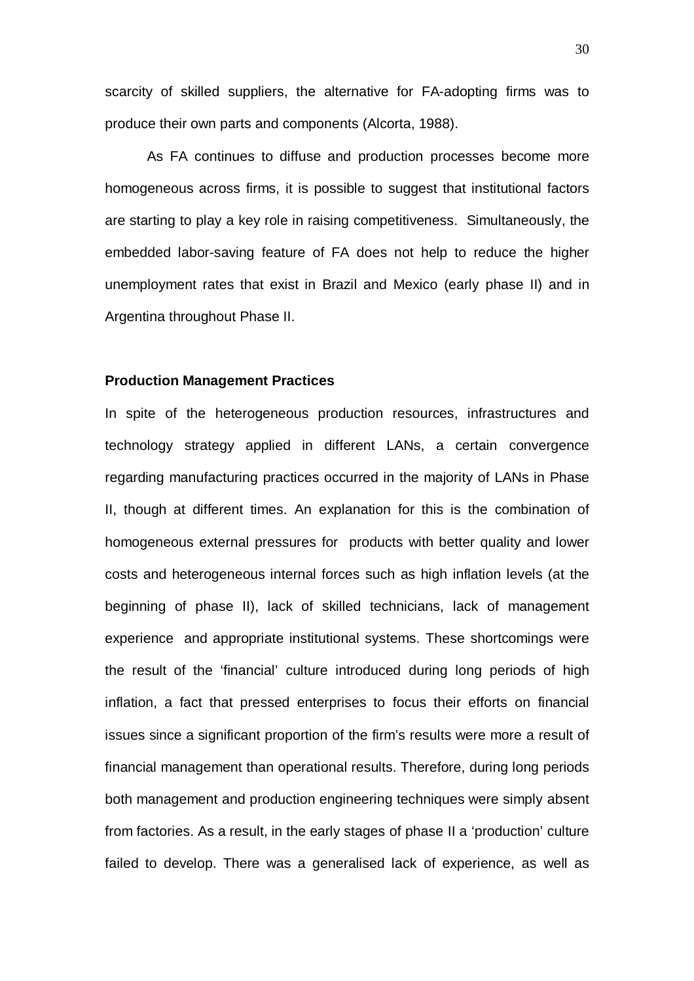scarcity of skilled suppliers, the alternative for FA-adopting firms was to produce their own parts and components (Alcorta, 1988).

As FA continues to diffuse and production processes become more homogeneous across firms, it is possible to suggest that institutional factors are starting to play a key role in raising competitiveness. Simultaneously, the embedded labor-saving feature of FA does not help to reduce the higher unemployment rates that exist in Brazil and Mexico (early phase II) and in Argentina throughout Phase II.

#### **Production Management Practices**

In spite of the heterogeneous production resources, infrastructures and technology strategy applied in different LANs, a certain convergence regarding manufacturing practices occurred in the majority of LANs in Phase II, though at different times. An explanation for this is the combination of homogeneous external pressures for products with better quality and lower costs and heterogeneous internal forces such as high inflation levels (at the beginning of phase II), lack of skilled technicians, lack of management experience and appropriate institutional systems. These shortcomings were the result of the 'financial' culture introduced during long periods of high inflation, a fact that pressed enterprises to focus their efforts on financial issues since a significant proportion of the firm's results were more a result of financial management than operational results. Therefore, during long periods both management and production engineering techniques were simply absent from factories. As a result, in the early stages of phase II a 'production' culture failed to develop. There was a generalised lack of experience, as well as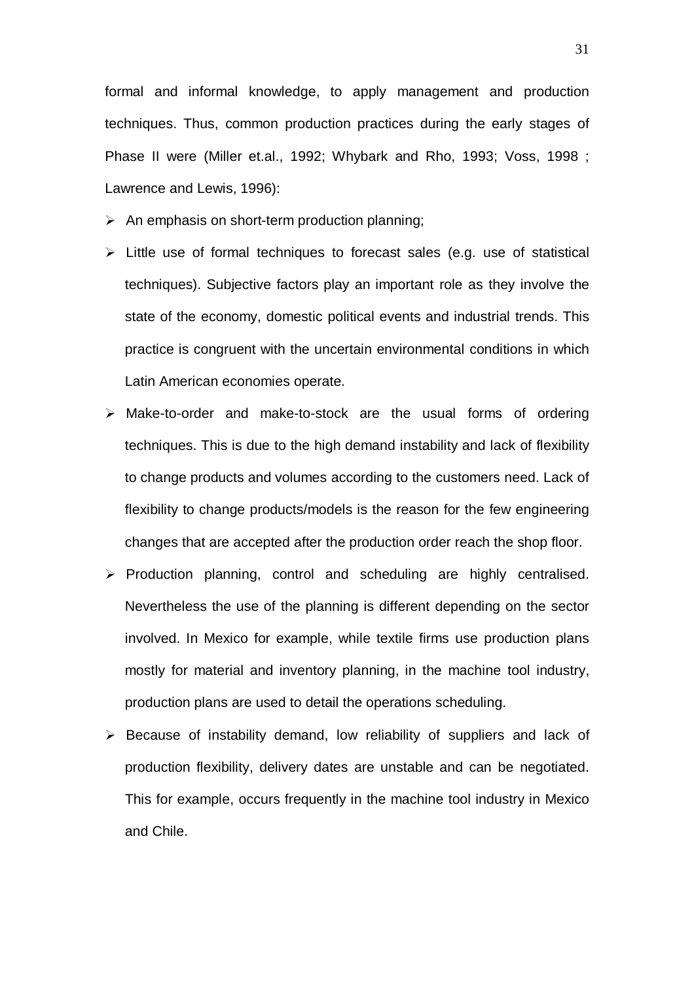formal and informal knowledge, to apply management and production techniques. Thus, common production practices during the early stages of Phase II were (Miller et.al., 1992; Whybark and Rho, 1993; Voss, 1998 ; Lawrence and Lewis, 1996):

- $\triangleright$  An emphasis on short-term production planning;
- $\triangleright$  Little use of formal techniques to forecast sales (e.g. use of statistical techniques). Subjective factors play an important role as they involve the state of the economy, domestic political events and industrial trends. This practice is congruent with the uncertain environmental conditions in which Latin American economies operate.
- Make-to-order and make-to-stock are the usual forms of ordering techniques. This is due to the high demand instability and lack of flexibility to change products and volumes according to the customers need. Lack of flexibility to change products/models is the reason for the few engineering changes that are accepted after the production order reach the shop floor.
- $\triangleright$  Production planning, control and scheduling are highly centralised. Nevertheless the use of the planning is different depending on the sector involved. In Mexico for example, while textile firms use production plans mostly for material and inventory planning, in the machine tool industry, production plans are used to detail the operations scheduling.
- $\triangleright$  Because of instability demand, low reliability of suppliers and lack of production flexibility, delivery dates are unstable and can be negotiated. This for example, occurs frequently in the machine tool industry in Mexico and Chile.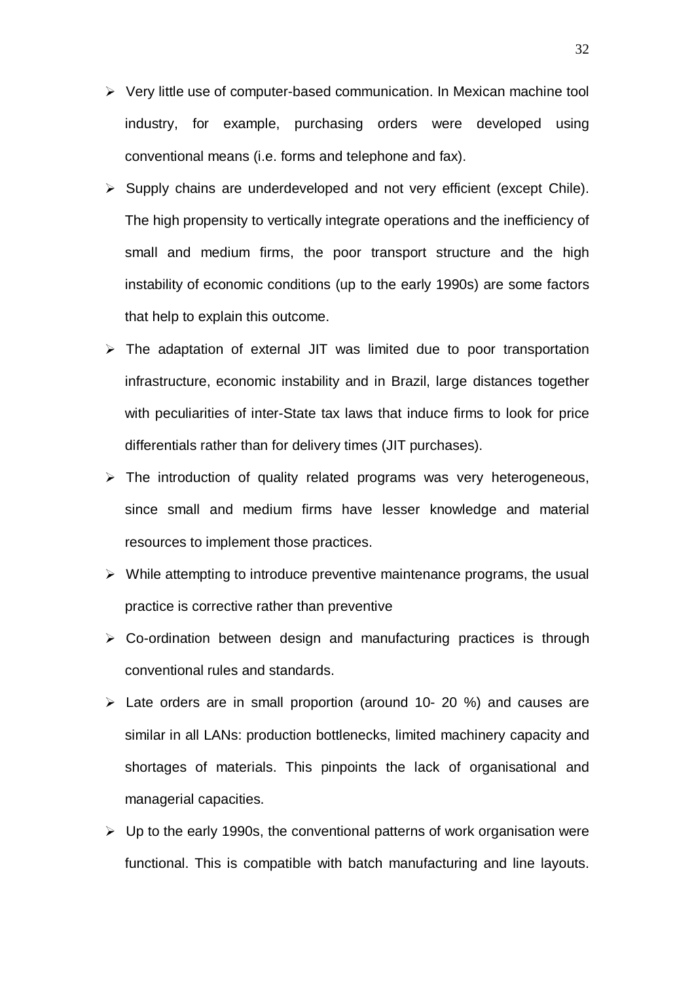- $\triangleright$  Very little use of computer-based communication. In Mexican machine tool industry, for example, purchasing orders were developed using conventional means (i.e. forms and telephone and fax).
- $\triangleright$  Supply chains are underdeveloped and not very efficient (except Chile). The high propensity to vertically integrate operations and the inefficiency of small and medium firms, the poor transport structure and the high instability of economic conditions (up to the early 1990s) are some factors that help to explain this outcome.
- $\triangleright$  The adaptation of external JIT was limited due to poor transportation infrastructure, economic instability and in Brazil, large distances together with peculiarities of inter-State tax laws that induce firms to look for price differentials rather than for delivery times (JIT purchases).
- $\triangleright$  The introduction of quality related programs was very heterogeneous, since small and medium firms have lesser knowledge and material resources to implement those practices.
- $\triangleright$  While attempting to introduce preventive maintenance programs, the usual practice is corrective rather than preventive
- $\triangleright$  Co-ordination between design and manufacturing practices is through conventional rules and standards.
- $\geq$  Late orders are in small proportion (around 10- 20 %) and causes are similar in all LANs: production bottlenecks, limited machinery capacity and shortages of materials. This pinpoints the lack of organisational and managerial capacities.
- $\triangleright$  Up to the early 1990s, the conventional patterns of work organisation were functional. This is compatible with batch manufacturing and line layouts.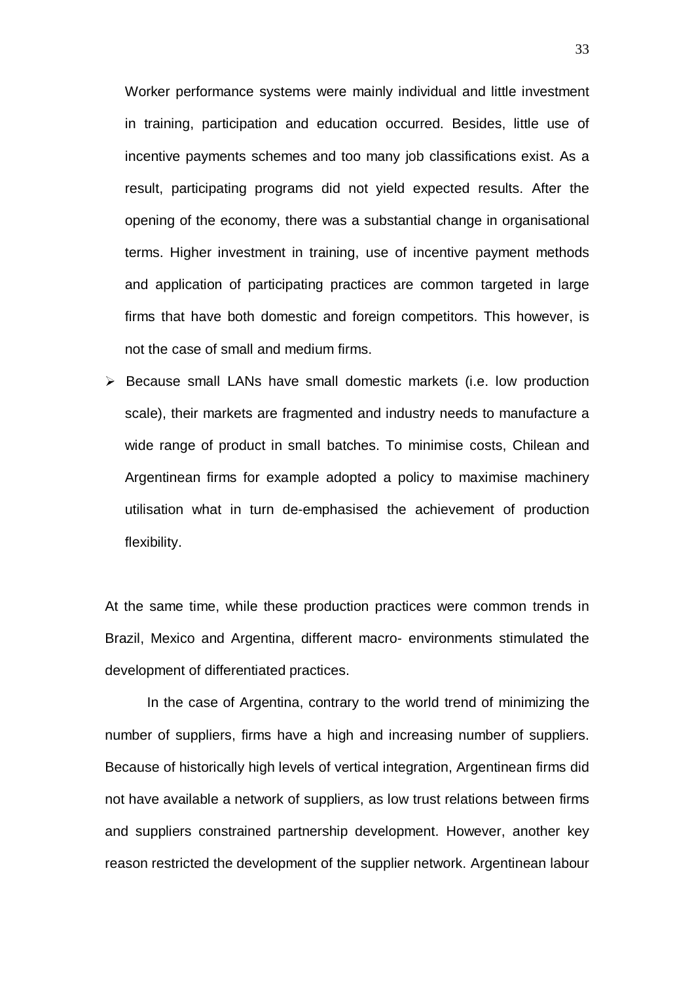Worker performance systems were mainly individual and little investment in training, participation and education occurred. Besides, little use of incentive payments schemes and too many job classifications exist. As a result, participating programs did not yield expected results. After the opening of the economy, there was a substantial change in organisational terms. Higher investment in training, use of incentive payment methods and application of participating practices are common targeted in large firms that have both domestic and foreign competitors. This however, is not the case of small and medium firms.

 $\triangleright$  Because small LANs have small domestic markets (i.e. low production scale), their markets are fragmented and industry needs to manufacture a wide range of product in small batches. To minimise costs, Chilean and Argentinean firms for example adopted a policy to maximise machinery utilisation what in turn de-emphasised the achievement of production flexibility.

At the same time, while these production practices were common trends in Brazil, Mexico and Argentina, different macro- environments stimulated the development of differentiated practices.

In the case of Argentina, contrary to the world trend of minimizing the number of suppliers, firms have a high and increasing number of suppliers. Because of historically high levels of vertical integration, Argentinean firms did not have available a network of suppliers, as low trust relations between firms and suppliers constrained partnership development. However, another key reason restricted the development of the supplier network. Argentinean labour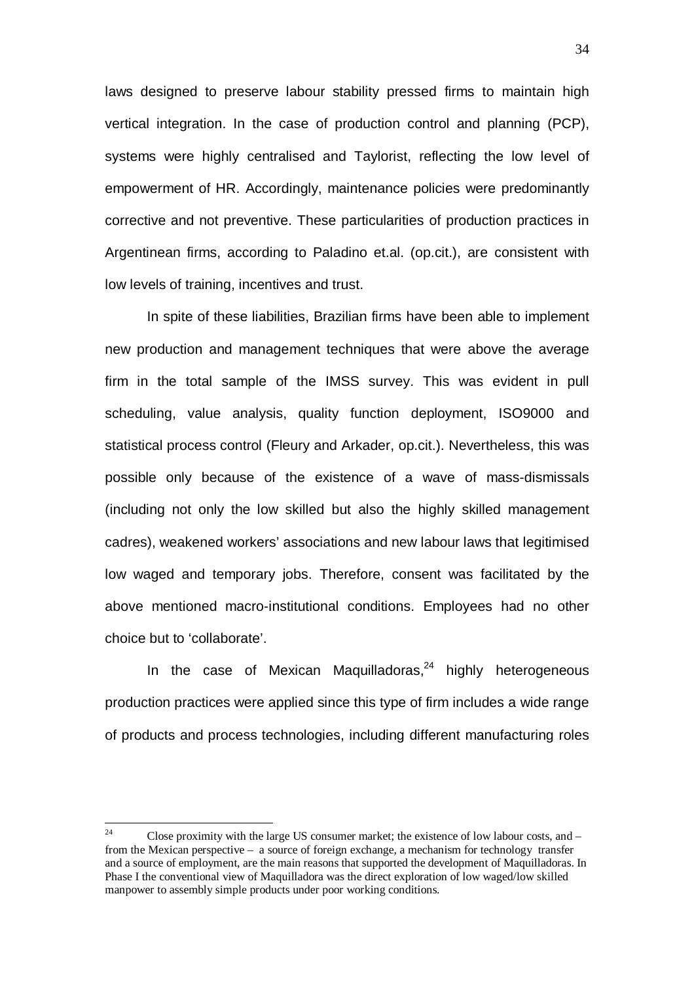laws designed to preserve labour stability pressed firms to maintain high vertical integration. In the case of production control and planning (PCP), systems were highly centralised and Taylorist, reflecting the low level of empowerment of HR. Accordingly, maintenance policies were predominantly corrective and not preventive. These particularities of production practices in Argentinean firms, according to Paladino et.al. (op.cit.), are consistent with low levels of training, incentives and trust.

In spite of these liabilities, Brazilian firms have been able to implement new production and management techniques that were above the average firm in the total sample of the IMSS survey. This was evident in pull scheduling, value analysis, quality function deployment, ISO9000 and statistical process control (Fleury and Arkader, op.cit.). Nevertheless, this was possible only because of the existence of a wave of mass-dismissals (including not only the low skilled but also the highly skilled management cadres), weakened workers' associations and new labour laws that legitimised low waged and temporary jobs. Therefore, consent was facilitated by the above mentioned macro-institutional conditions. Employees had no other choice but to 'collaborate'.

In the case of Mexican Maquilladoras, $24$  highly heterogeneous production practices were applied since this type of firm includes a wide range of products and process technologies, including different manufacturing roles

 $24$ Close proximity with the large US consumer market; the existence of low labour costs, and  $$ from the Mexican perspective – a source of foreign exchange, a mechanism for technology transfer and a source of employment, are the main reasons that supported the development of Maquilladoras. In Phase I the conventional view of Maquilladora was the direct exploration of low waged/low skilled manpower to assembly simple products under poor working conditions.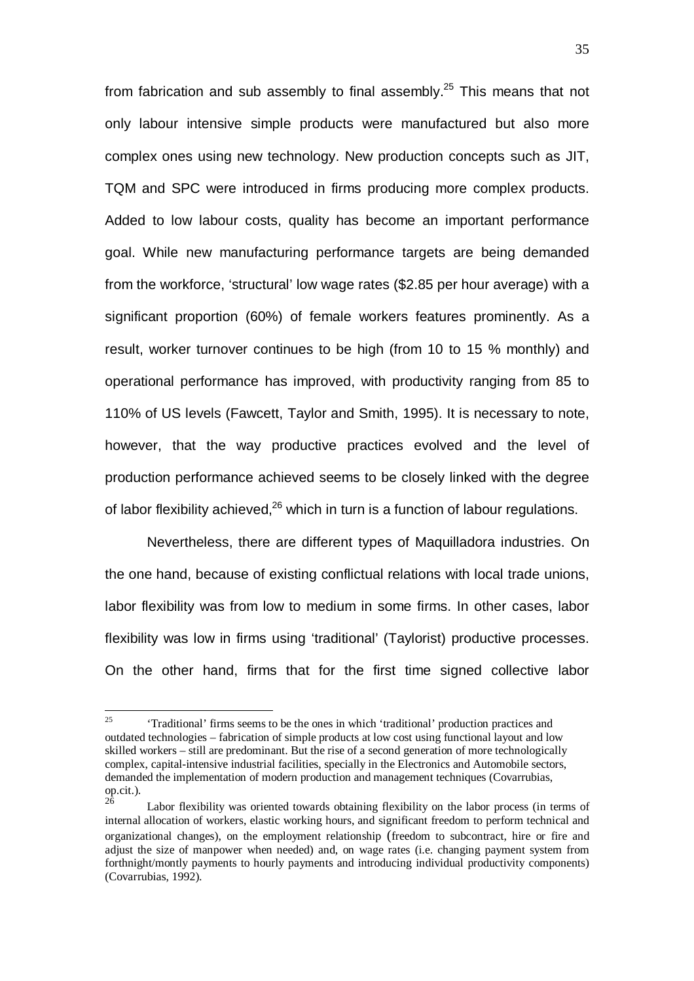from fabrication and sub assembly to final assembly.<sup>25</sup> This means that not only labour intensive simple products were manufactured but also more complex ones using new technology. New production concepts such as JIT, TQM and SPC were introduced in firms producing more complex products. Added to low labour costs, quality has become an important performance goal. While new manufacturing performance targets are being demanded from the workforce, 'structural' low wage rates (\$2.85 per hour average) with a significant proportion (60%) of female workers features prominently. As a result, worker turnover continues to be high (from 10 to 15 % monthly) and operational performance has improved, with productivity ranging from 85 to 110% of US levels (Fawcett, Taylor and Smith, 1995). It is necessary to note, however, that the way productive practices evolved and the level of production performance achieved seems to be closely linked with the degree of labor flexibility achieved,<sup>26</sup> which in turn is a function of labour regulations.

Nevertheless, there are different types of Maquilladora industries. On the one hand, because of existing conflictual relations with local trade unions, labor flexibility was from low to medium in some firms. In other cases, labor flexibility was low in firms using 'traditional' (Taylorist) productive processes. On the other hand, firms that for the first time signed collective labor

 $25\overline{)}$ 25 'Traditional' firms seems to be the ones in which 'traditional' production practices and outdated technologies – fabrication of simple products at low cost using functional layout and low skilled workers – still are predominant. But the rise of a second generation of more technologically complex, capital-intensive industrial facilities, specially in the Electronics and Automobile sectors, demanded the implementation of modern production and management techniques (Covarrubias, op.cit.).

<sup>26</sup> Labor flexibility was oriented towards obtaining flexibility on the labor process (in terms of internal allocation of workers, elastic working hours, and significant freedom to perform technical and organizational changes), on the employment relationship (freedom to subcontract, hire or fire and adjust the size of manpower when needed) and, on wage rates (i.e. changing payment system from forthnight/montly payments to hourly payments and introducing individual productivity components) (Covarrubias, 1992).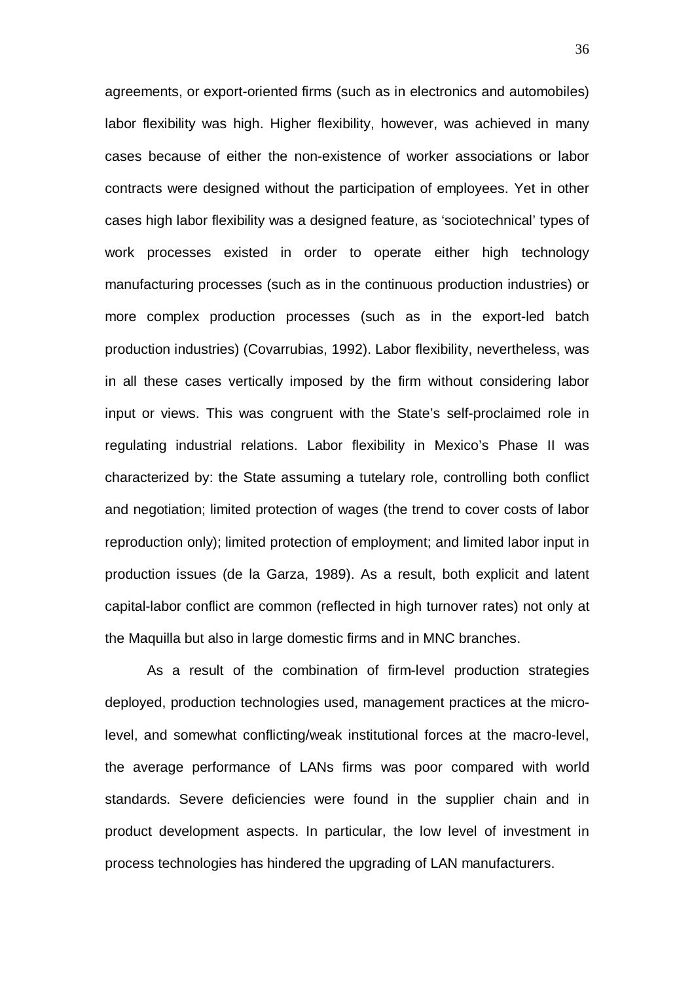agreements, or export-oriented firms (such as in electronics and automobiles) labor flexibility was high. Higher flexibility, however, was achieved in many cases because of either the non-existence of worker associations or labor contracts were designed without the participation of employees. Yet in other cases high labor flexibility was a designed feature, as 'sociotechnical' types of work processes existed in order to operate either high technology manufacturing processes (such as in the continuous production industries) or more complex production processes (such as in the export-led batch production industries) (Covarrubias, 1992). Labor flexibility, nevertheless, was in all these cases vertically imposed by the firm without considering labor input or views. This was congruent with the State's self-proclaimed role in regulating industrial relations. Labor flexibility in Mexico's Phase II was characterized by: the State assuming a tutelary role, controlling both conflict and negotiation; limited protection of wages (the trend to cover costs of labor reproduction only); limited protection of employment; and limited labor input in production issues (de la Garza, 1989). As a result, both explicit and latent capital-labor conflict are common (reflected in high turnover rates) not only at the Maquilla but also in large domestic firms and in MNC branches.

As a result of the combination of firm-level production strategies deployed, production technologies used, management practices at the microlevel, and somewhat conflicting/weak institutional forces at the macro-level, the average performance of LANs firms was poor compared with world standards. Severe deficiencies were found in the supplier chain and in product development aspects. In particular, the low level of investment in process technologies has hindered the upgrading of LAN manufacturers.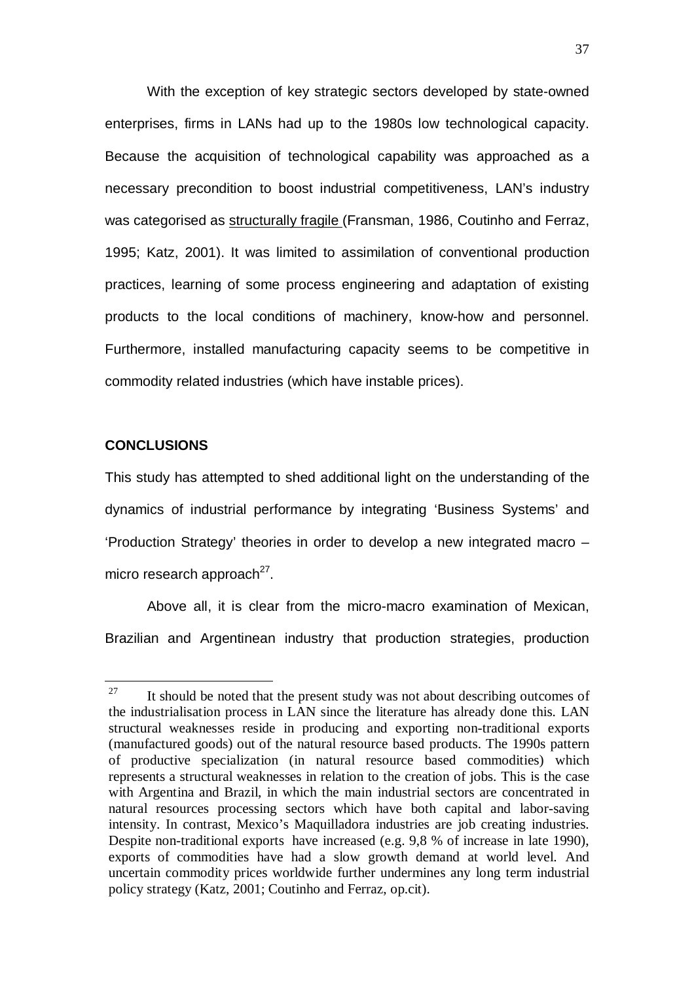With the exception of key strategic sectors developed by state-owned enterprises, firms in LANs had up to the 1980s low technological capacity. Because the acquisition of technological capability was approached as a necessary precondition to boost industrial competitiveness, LAN's industry was categorised as structurally fragile (Fransman, 1986, Coutinho and Ferraz, 1995; Katz, 2001). It was limited to assimilation of conventional production practices, learning of some process engineering and adaptation of existing products to the local conditions of machinery, know-how and personnel. Furthermore, installed manufacturing capacity seems to be competitive in commodity related industries (which have instable prices).

#### **CONCLUSIONS**

 $\overline{a}$ 

This study has attempted to shed additional light on the understanding of the dynamics of industrial performance by integrating 'Business Systems' and 'Production Strategy' theories in order to develop a new integrated macro – micro research approach $^{27}$ .

Above all, it is clear from the micro-macro examination of Mexican, Brazilian and Argentinean industry that production strategies, production

<sup>&</sup>lt;sup>27</sup> It should be noted that the present study was not about describing outcomes of the industrialisation process in LAN since the literature has already done this. LAN structural weaknesses reside in producing and exporting non-traditional exports (manufactured goods) out of the natural resource based products. The 1990s pattern of productive specialization (in natural resource based commodities) which represents a structural weaknesses in relation to the creation of jobs. This is the case with Argentina and Brazil, in which the main industrial sectors are concentrated in natural resources processing sectors which have both capital and labor-saving intensity. In contrast, Mexico's Maquilladora industries are job creating industries. Despite non-traditional exports have increased (e.g. 9,8 % of increase in late 1990), exports of commodities have had a slow growth demand at world level. And uncertain commodity prices worldwide further undermines any long term industrial policy strategy (Katz, 2001; Coutinho and Ferraz, op.cit).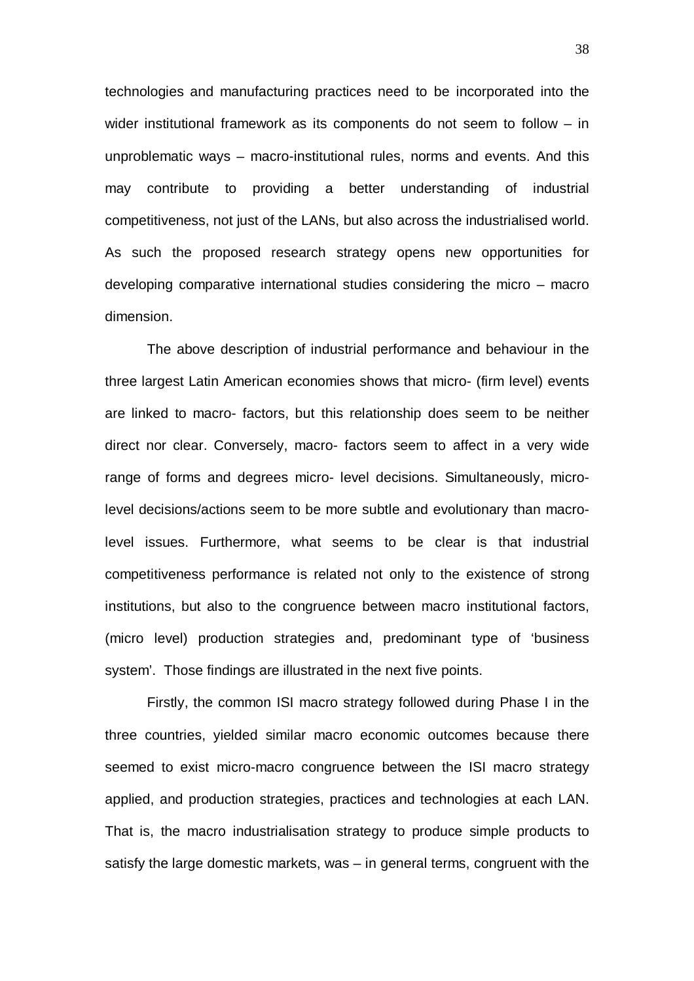technologies and manufacturing practices need to be incorporated into the wider institutional framework as its components do not seem to follow – in unproblematic ways – macro-institutional rules, norms and events. And this may contribute to providing a better understanding of industrial competitiveness, not just of the LANs, but also across the industrialised world. As such the proposed research strategy opens new opportunities for developing comparative international studies considering the micro – macro dimension.

The above description of industrial performance and behaviour in the three largest Latin American economies shows that micro- (firm level) events are linked to macro- factors, but this relationship does seem to be neither direct nor clear. Conversely, macro- factors seem to affect in a very wide range of forms and degrees micro- level decisions. Simultaneously, microlevel decisions/actions seem to be more subtle and evolutionary than macrolevel issues. Furthermore, what seems to be clear is that industrial competitiveness performance is related not only to the existence of strong institutions, but also to the congruence between macro institutional factors, (micro level) production strategies and, predominant type of 'business system'. Those findings are illustrated in the next five points.

Firstly, the common ISI macro strategy followed during Phase I in the three countries, yielded similar macro economic outcomes because there seemed to exist micro-macro congruence between the ISI macro strategy applied, and production strategies, practices and technologies at each LAN. That is, the macro industrialisation strategy to produce simple products to satisfy the large domestic markets, was – in general terms, congruent with the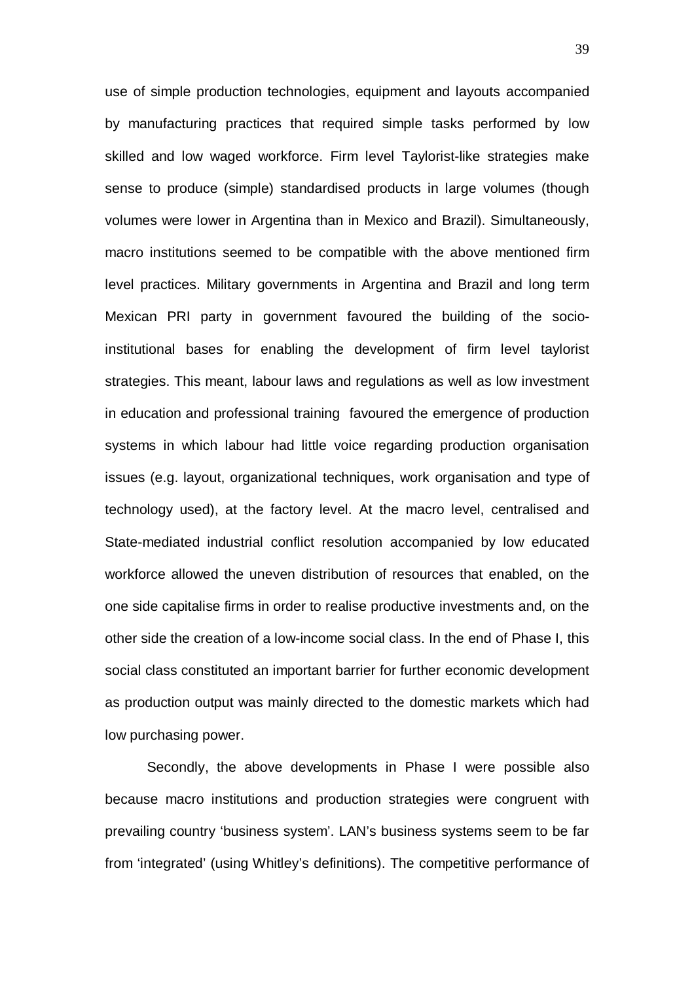use of simple production technologies, equipment and layouts accompanied by manufacturing practices that required simple tasks performed by low skilled and low waged workforce. Firm level Taylorist-like strategies make sense to produce (simple) standardised products in large volumes (though volumes were lower in Argentina than in Mexico and Brazil). Simultaneously, macro institutions seemed to be compatible with the above mentioned firm level practices. Military governments in Argentina and Brazil and long term Mexican PRI party in government favoured the building of the socioinstitutional bases for enabling the development of firm level taylorist strategies. This meant, labour laws and regulations as well as low investment in education and professional training favoured the emergence of production systems in which labour had little voice regarding production organisation issues (e.g. layout, organizational techniques, work organisation and type of technology used), at the factory level. At the macro level, centralised and State-mediated industrial conflict resolution accompanied by low educated workforce allowed the uneven distribution of resources that enabled, on the one side capitalise firms in order to realise productive investments and, on the other side the creation of a low-income social class. In the end of Phase I, this social class constituted an important barrier for further economic development as production output was mainly directed to the domestic markets which had low purchasing power.

Secondly, the above developments in Phase I were possible also because macro institutions and production strategies were congruent with prevailing country 'business system'. LAN's business systems seem to be far from 'integrated' (using Whitley's definitions). The competitive performance of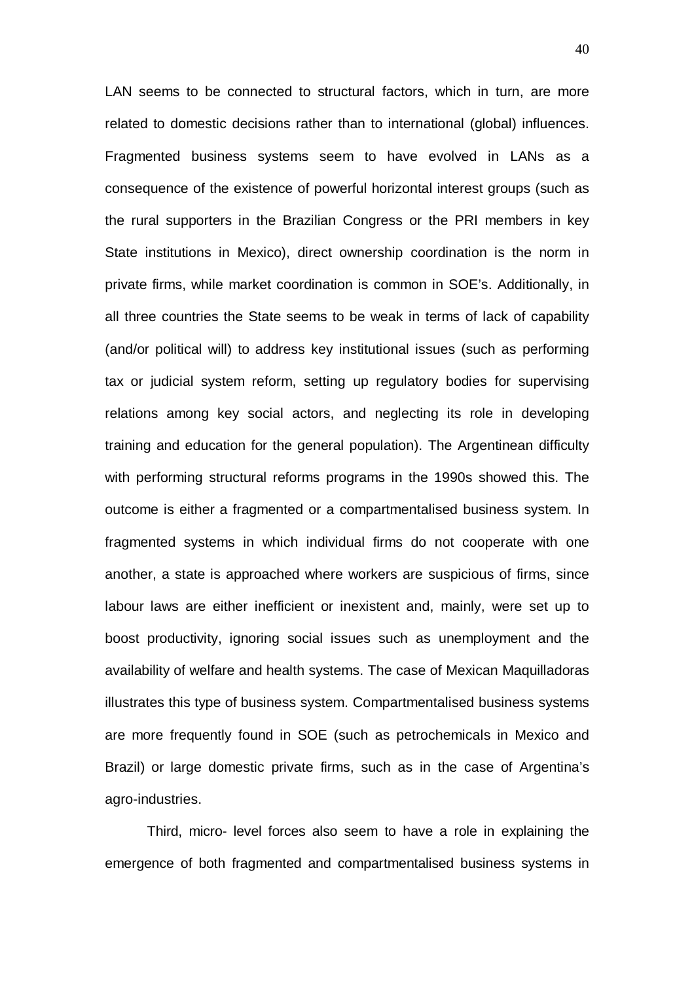LAN seems to be connected to structural factors, which in turn, are more related to domestic decisions rather than to international (global) influences. Fragmented business systems seem to have evolved in LANs as a consequence of the existence of powerful horizontal interest groups (such as the rural supporters in the Brazilian Congress or the PRI members in key State institutions in Mexico), direct ownership coordination is the norm in private firms, while market coordination is common in SOE's. Additionally, in all three countries the State seems to be weak in terms of lack of capability (and/or political will) to address key institutional issues (such as performing tax or judicial system reform, setting up regulatory bodies for supervising relations among key social actors, and neglecting its role in developing training and education for the general population). The Argentinean difficulty with performing structural reforms programs in the 1990s showed this. The outcome is either a fragmented or a compartmentalised business system. In fragmented systems in which individual firms do not cooperate with one another, a state is approached where workers are suspicious of firms, since labour laws are either inefficient or inexistent and, mainly, were set up to boost productivity, ignoring social issues such as unemployment and the availability of welfare and health systems. The case of Mexican Maquilladoras illustrates this type of business system. Compartmentalised business systems are more frequently found in SOE (such as petrochemicals in Mexico and Brazil) or large domestic private firms, such as in the case of Argentina's agro-industries.

Third, micro- level forces also seem to have a role in explaining the emergence of both fragmented and compartmentalised business systems in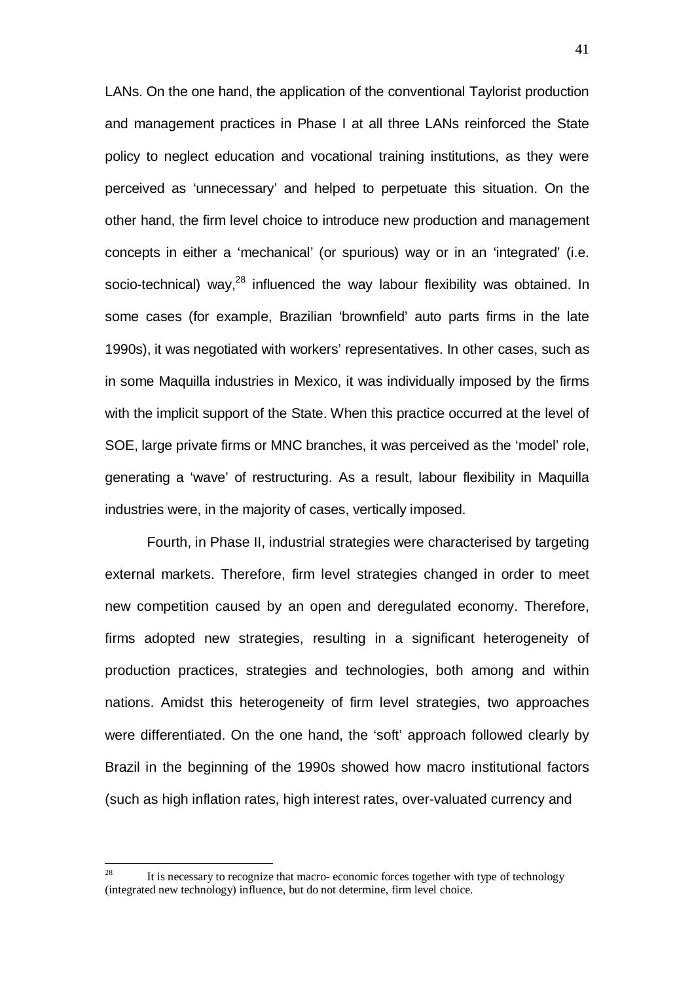LANs. On the one hand, the application of the conventional Taylorist production and management practices in Phase I at all three LANs reinforced the State policy to neglect education and vocational training institutions, as they were perceived as 'unnecessary' and helped to perpetuate this situation. On the other hand, the firm level choice to introduce new production and management concepts in either a 'mechanical' (or spurious) way or in an 'integrated' (i.e. socio-technical) way,<sup>28</sup> influenced the way labour flexibility was obtained. In some cases (for example, Brazilian 'brownfield' auto parts firms in the late 1990s), it was negotiated with workers' representatives. In other cases, such as in some Maquilla industries in Mexico, it was individually imposed by the firms with the implicit support of the State. When this practice occurred at the level of SOE, large private firms or MNC branches, it was perceived as the 'model' role, generating a 'wave' of restructuring. As a result, labour flexibility in Maquilla industries were, in the majority of cases, vertically imposed.

Fourth, in Phase II, industrial strategies were characterised by targeting external markets. Therefore, firm level strategies changed in order to meet new competition caused by an open and deregulated economy. Therefore, firms adopted new strategies, resulting in a significant heterogeneity of production practices, strategies and technologies, both among and within nations. Amidst this heterogeneity of firm level strategies, two approaches were differentiated. On the one hand, the 'soft' approach followed clearly by Brazil in the beginning of the 1990s showed how macro institutional factors (such as high inflation rates, high interest rates, over-valuated currency and

<sup>28</sup> 28 It is necessary to recognize that macro- economic forces together with type of technology (integrated new technology) influence, but do not determine, firm level choice.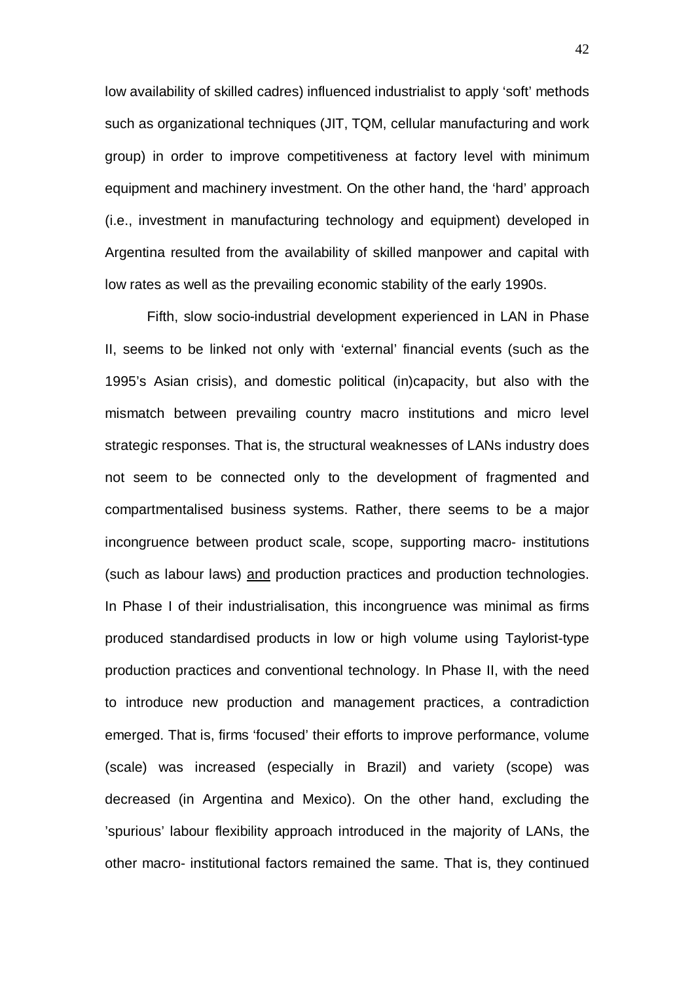low availability of skilled cadres) influenced industrialist to apply 'soft' methods such as organizational techniques (JIT, TQM, cellular manufacturing and work group) in order to improve competitiveness at factory level with minimum equipment and machinery investment. On the other hand, the 'hard' approach (i.e., investment in manufacturing technology and equipment) developed in Argentina resulted from the availability of skilled manpower and capital with low rates as well as the prevailing economic stability of the early 1990s.

Fifth, slow socio-industrial development experienced in LAN in Phase II, seems to be linked not only with 'external' financial events (such as the 1995's Asian crisis), and domestic political (in)capacity, but also with the mismatch between prevailing country macro institutions and micro level strategic responses. That is, the structural weaknesses of LANs industry does not seem to be connected only to the development of fragmented and compartmentalised business systems. Rather, there seems to be a major incongruence between product scale, scope, supporting macro- institutions (such as labour laws) and production practices and production technologies. In Phase I of their industrialisation, this incongruence was minimal as firms produced standardised products in low or high volume using Taylorist-type production practices and conventional technology. In Phase II, with the need to introduce new production and management practices, a contradiction emerged. That is, firms 'focused' their efforts to improve performance, volume (scale) was increased (especially in Brazil) and variety (scope) was decreased (in Argentina and Mexico). On the other hand, excluding the 'spurious' labour flexibility approach introduced in the majority of LANs, the other macro- institutional factors remained the same. That is, they continued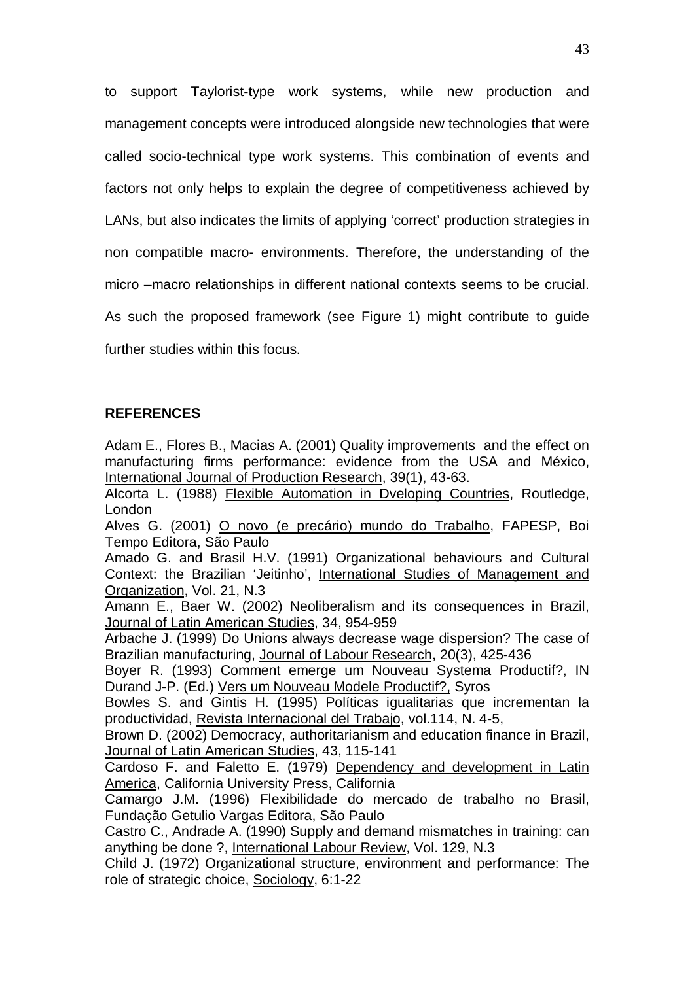to support Taylorist-type work systems, while new production and management concepts were introduced alongside new technologies that were called socio-technical type work systems. This combination of events and factors not only helps to explain the degree of competitiveness achieved by LANs, but also indicates the limits of applying 'correct' production strategies in non compatible macro- environments. Therefore, the understanding of the micro –macro relationships in different national contexts seems to be crucial. As such the proposed framework (see Figure 1) might contribute to guide further studies within this focus.

### **REFERENCES**

Adam E., Flores B., Macias A. (2001) Quality improvements and the effect on manufacturing firms performance: evidence from the USA and México, International Journal of Production Research, 39(1), 43-63.

Alcorta L. (1988) Flexible Automation in Dveloping Countries, Routledge, London

Alves G. (2001) O novo (e precário) mundo do Trabalho, FAPESP, Boi Tempo Editora, São Paulo

Amado G. and Brasil H.V. (1991) Organizational behaviours and Cultural Context: the Brazilian 'Jeitinho', International Studies of Management and Organization, Vol. 21, N.3

Amann E., Baer W. (2002) Neoliberalism and its consequences in Brazil, Journal of Latin American Studies, 34, 954-959

Arbache J. (1999) Do Unions always decrease wage dispersion? The case of Brazilian manufacturing, Journal of Labour Research, 20(3), 425-436

Boyer R. (1993) Comment emerge um Nouveau Systema Productif?, IN Durand J-P. (Ed.) Vers um Nouveau Modele Productif?, Syros

Bowles S. and Gintis H. (1995) Políticas igualitarias que incrementan la productividad, Revista Internacional del Trabajo, vol.114, N. 4-5,

Brown D. (2002) Democracy, authoritarianism and education finance in Brazil, Journal of Latin American Studies, 43, 115-141

Cardoso F. and Faletto E. (1979) Dependency and development in Latin America, California University Press, California

Camargo J.M. (1996) Flexibilidade do mercado de trabalho no Brasil, Fundação Getulio Vargas Editora, São Paulo

Castro C., Andrade A. (1990) Supply and demand mismatches in training: can anything be done ?, International Labour Review, Vol. 129, N.3

Child J. (1972) Organizational structure, environment and performance: The role of strategic choice, Sociology, 6:1-22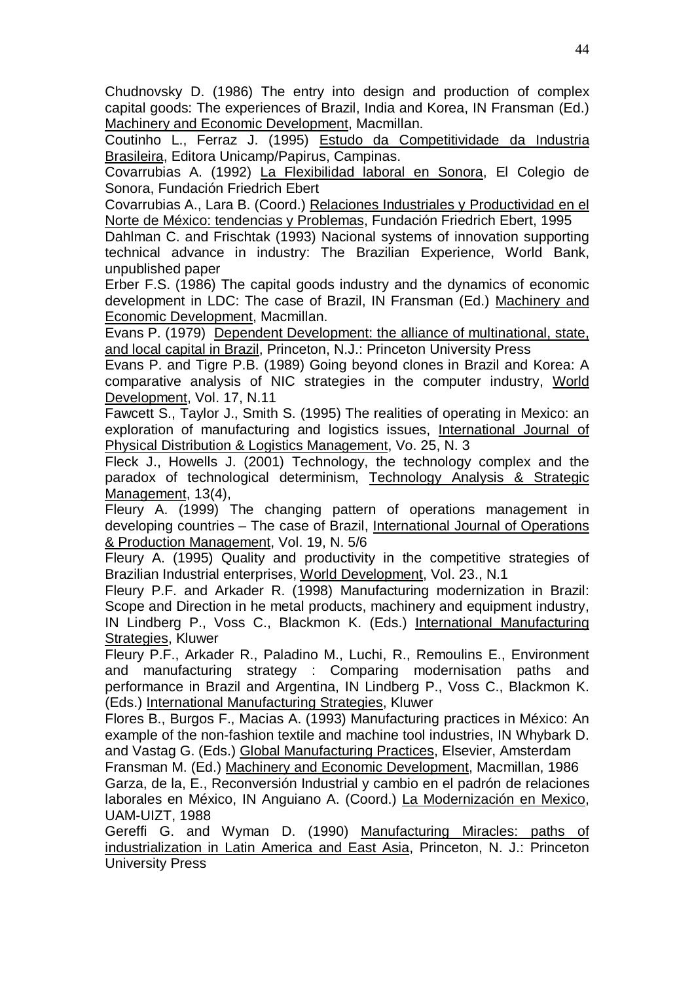Chudnovsky D. (1986) The entry into design and production of complex capital goods: The experiences of Brazil, India and Korea, IN Fransman (Ed.) Machinery and Economic Development, Macmillan.

Coutinho L., Ferraz J. (1995) Estudo da Competitividade da Industria Brasileira, Editora Unicamp/Papirus, Campinas.

Covarrubias A. (1992) La Flexibilidad laboral en Sonora, El Colegio de Sonora, Fundación Friedrich Ebert

Covarrubias A., Lara B. (Coord.) Relaciones Industriales y Productividad en el Norte de México: tendencias y Problemas, Fundación Friedrich Ebert, 1995

Dahlman C. and Frischtak (1993) Nacional systems of innovation supporting technical advance in industry: The Brazilian Experience, World Bank, unpublished paper

Erber F.S. (1986) The capital goods industry and the dynamics of economic development in LDC: The case of Brazil, IN Fransman (Ed.) Machinery and Economic Development, Macmillan.

Evans P. (1979) Dependent Development: the alliance of multinational, state, and local capital in Brazil, Princeton, N.J.: Princeton University Press

Evans P. and Tigre P.B. (1989) Going beyond clones in Brazil and Korea: A comparative analysis of NIC strategies in the computer industry, World Development, Vol. 17, N.11

Fawcett S., Taylor J., Smith S. (1995) The realities of operating in Mexico: an exploration of manufacturing and logistics issues, International Journal of Physical Distribution & Logistics Management, Vo. 25, N. 3

Fleck J., Howells J. (2001) Technology, the technology complex and the paradox of technological determinism, Technology Analysis & Strategic Management, 13(4),

Fleury A. (1999) The changing pattern of operations management in developing countries - The case of Brazil, International Journal of Operations & Production Management, Vol. 19, N. 5/6

Fleury A. (1995) Quality and productivity in the competitive strategies of Brazilian Industrial enterprises, World Development, Vol. 23., N.1

Fleury P.F. and Arkader R. (1998) Manufacturing modernization in Brazil: Scope and Direction in he metal products, machinery and equipment industry, IN Lindberg P., Voss C., Blackmon K. (Eds.) International Manufacturing Strategies, Kluwer

Fleury P.F., Arkader R., Paladino M., Luchi, R., Remoulins E., Environment and manufacturing strategy : Comparing modernisation paths and performance in Brazil and Argentina, IN Lindberg P., Voss C., Blackmon K. (Eds.) International Manufacturing Strategies, Kluwer

Flores B., Burgos F., Macias A. (1993) Manufacturing practices in México: An example of the non-fashion textile and machine tool industries, IN Whybark D. and Vastag G. (Eds.) Global Manufacturing Practices, Elsevier, Amsterdam

Fransman M. (Ed.) Machinery and Economic Development, Macmillan, 1986 Garza, de la, E., Reconversión Industrial y cambio en el padrón de relaciones laborales en México, IN Anguiano A. (Coord.) La Modernización en Mexico, UAM-UIZT, 1988

Gereffi G. and Wyman D. (1990) Manufacturing Miracles: paths of industrialization in Latin America and East Asia, Princeton, N. J.: Princeton University Press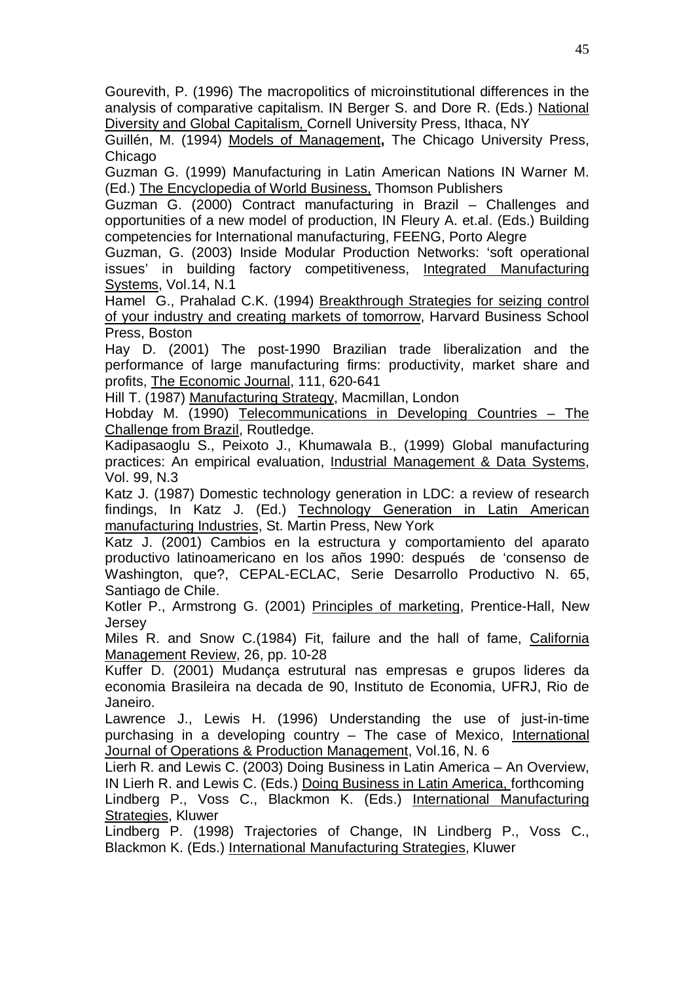Gourevith, P. (1996) The macropolitics of microinstitutional differences in the analysis of comparative capitalism. IN Berger S. and Dore R. (Eds.) National Diversity and Global Capitalism, Cornell University Press, Ithaca, NY

Guillén, M. (1994) Models of Management**,** The Chicago University Press, Chicago

Guzman G. (1999) Manufacturing in Latin American Nations IN Warner M. (Ed.) The Encyclopedia of World Business, Thomson Publishers

Guzman G. (2000) Contract manufacturing in Brazil – Challenges and opportunities of a new model of production, IN Fleury A. et.al. (Eds.) Building competencies for International manufacturing, FEENG, Porto Alegre

Guzman, G. (2003) Inside Modular Production Networks: 'soft operational issues' in building factory competitiveness, Integrated Manufacturing Systems, Vol.14, N.1

Hamel G., Prahalad C.K. (1994) Breakthrough Strategies for seizing control of your industry and creating markets of tomorrow, Harvard Business School Press, Boston

Hay D. (2001) The post-1990 Brazilian trade liberalization and the performance of large manufacturing firms: productivity, market share and profits, The Economic Journal, 111, 620-641

Hill T. (1987) Manufacturing Strategy, Macmillan, London

Hobday M. (1990) Telecommunications in Developing Countries – The Challenge from Brazil, Routledge.

Kadipasaoglu S., Peixoto J., Khumawala B., (1999) Global manufacturing practices: An empirical evaluation, Industrial Management & Data Systems, Vol. 99, N.3

Katz J. (1987) Domestic technology generation in LDC: a review of research findings, In Katz J. (Ed.) Technology Generation in Latin American manufacturing Industries, St. Martin Press, New York

Katz J. (2001) Cambios en la estructura y comportamiento del aparato productivo latinoamericano en los años 1990: después de 'consenso de Washington, que?, CEPAL-ECLAC, Serie Desarrollo Productivo N. 65, Santiago de Chile.

Kotler P., Armstrong G. (2001) Principles of marketing, Prentice-Hall, New Jersey

Miles R. and Snow C.(1984) Fit, failure and the hall of fame, California Management Review, 26, pp. 10-28

Kuffer D. (2001) Mudança estrutural nas empresas e grupos lideres da economia Brasileira na decada de 90, Instituto de Economia, UFRJ, Rio de Janeiro.

Lawrence J., Lewis H. (1996) Understanding the use of just-in-time purchasing in a developing country – The case of Mexico, International Journal of Operations & Production Management, Vol.16, N. 6

Lierh R. and Lewis C. (2003) Doing Business in Latin America – An Overview, IN Lierh R. and Lewis C. (Eds.) Doing Business in Latin America, forthcoming Lindberg P., Voss C., Blackmon K. (Eds.) International Manufacturing Strategies, Kluwer

Lindberg P. (1998) Trajectories of Change, IN Lindberg P., Voss C., Blackmon K. (Eds.) International Manufacturing Strategies, Kluwer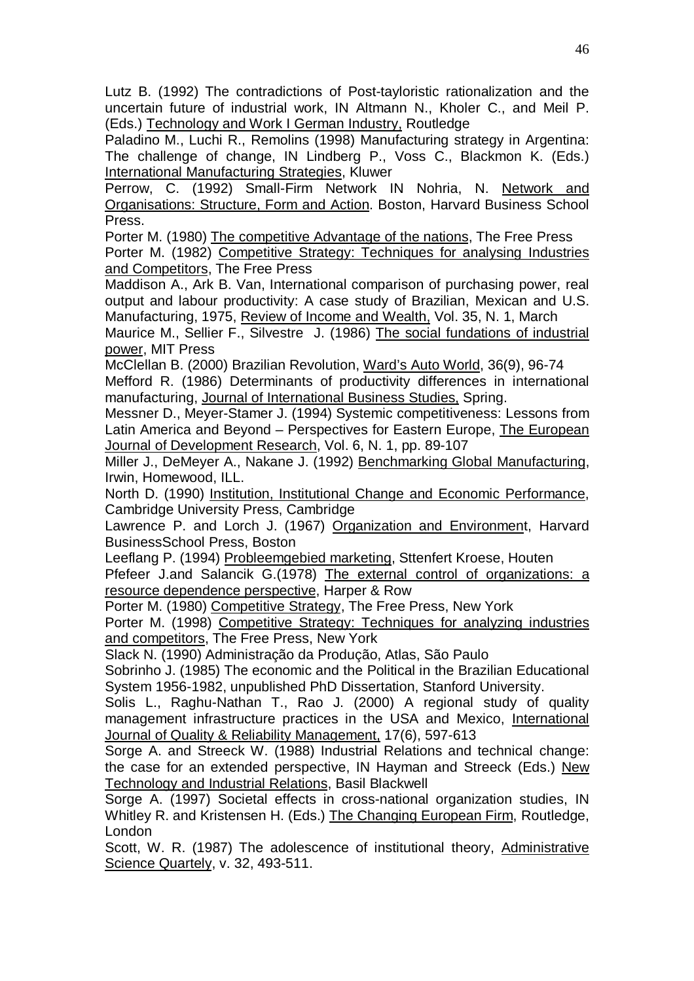Lutz B. (1992) The contradictions of Post-tayloristic rationalization and the uncertain future of industrial work, IN Altmann N., Kholer C., and Meil P. (Eds.) Technology and Work I German Industry, Routledge

Paladino M., Luchi R., Remolins (1998) Manufacturing strategy in Argentina: The challenge of change, IN Lindberg P., Voss C., Blackmon K. (Eds.) International Manufacturing Strategies, Kluwer

Perrow, C. (1992) Small-Firm Network IN Nohria, N. Network and Organisations: Structure, Form and Action. Boston, Harvard Business School Press.

Porter M. (1980) The competitive Advantage of the nations, The Free Press Porter M. (1982) Competitive Strategy: Techniques for analysing Industries and Competitors, The Free Press

Maddison A., Ark B. Van, International comparison of purchasing power, real output and labour productivity: A case study of Brazilian, Mexican and U.S. Manufacturing, 1975, Review of Income and Wealth, Vol. 35, N. 1, March

Maurice M., Sellier F., Silvestre J. (1986) The social fundations of industrial power, MIT Press

McClellan B. (2000) Brazilian Revolution, Ward's Auto World, 36(9), 96-74 Mefford R. (1986) Determinants of productivity differences in international manufacturing, Journal of International Business Studies, Spring.

Messner D., Meyer-Stamer J. (1994) Systemic competitiveness: Lessons from Latin America and Beyond – Perspectives for Eastern Europe, The European Journal of Development Research, Vol. 6, N. 1, pp. 89-107

Miller J., DeMeyer A., Nakane J. (1992) Benchmarking Global Manufacturing, Irwin, Homewood, ILL.

North D. (1990) Institution, Institutional Change and Economic Performance, Cambridge University Press, Cambridge

Lawrence P. and Lorch J. (1967) Organization and Environment, Harvard BusinessSchool Press, Boston

Leeflang P. (1994) Probleemgebied marketing, Sttenfert Kroese, Houten Pfefeer J.and Salancik G.(1978) The external control of organizations: a resource dependence perspective, Harper & Row

Porter M. (1980) Competitive Strategy, The Free Press, New York

Porter M. (1998) Competitive Strategy: Techniques for analyzing industries and competitors, The Free Press, New York

Slack N. (1990) Administração da Produção, Atlas, São Paulo

Sobrinho J. (1985) The economic and the Political in the Brazilian Educational System 1956-1982, unpublished PhD Dissertation, Stanford University.

Solis L., Raghu-Nathan T., Rao J. (2000) A regional study of quality management infrastructure practices in the USA and Mexico, International Journal of Quality & Reliability Management, 17(6), 597-613

Sorge A. and Streeck W. (1988) Industrial Relations and technical change: the case for an extended perspective, IN Hayman and Streeck (Eds.) New Technology and Industrial Relations, Basil Blackwell

Sorge A. (1997) Societal effects in cross-national organization studies, IN Whitley R. and Kristensen H. (Eds.) The Changing European Firm, Routledge, London

Scott, W. R. (1987) The adolescence of institutional theory, Administrative Science Quartely, v. 32, 493-511.